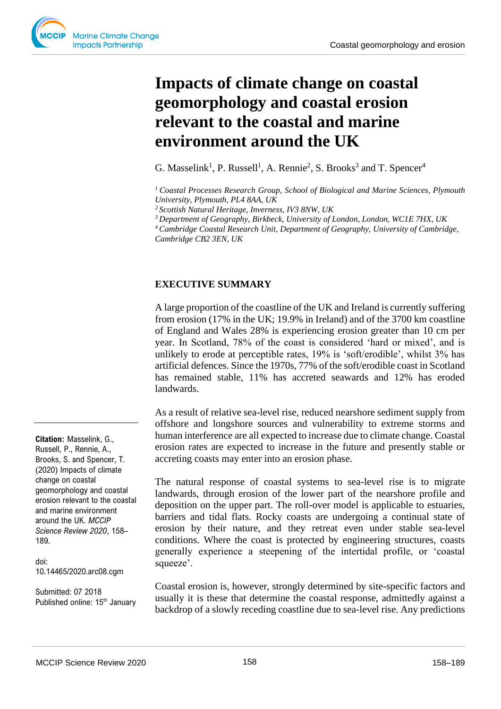# **Impacts of climate change on coastal geomorphology and coastal erosion relevant to the coastal and marine environment around the UK**

G. Masselink<sup>1</sup>, P. Russell<sup>1</sup>, A. Rennie<sup>2</sup>, S. Brooks<sup>3</sup> and T. Spencer<sup>4</sup>

*<sup>1</sup>Coastal Processes Research Group, School of Biological and Marine Sciences, Plymouth University, Plymouth, PL4 8AA, UK*

*<sup>2</sup>Scottish Natural Heritage, Inverness, IV3 8NW, UK*

*<sup>3</sup>Department of Geography, Birkbeck, University of London, London, WC1E 7HX, UK* 

*<sup>4</sup>Cambridge Coastal Research Unit, Department of Geography, University of Cambridge, Cambridge CB2 3EN, UK*

# **EXECUTIVE SUMMARY**

A large proportion of the coastline of the UK and Ireland is currently suffering from erosion (17% in the UK; 19.9% in Ireland) and of the 3700 km coastline of England and Wales 28% is experiencing erosion greater than 10 cm per year. In Scotland, 78% of the coast is considered 'hard or mixed', and is unlikely to erode at perceptible rates, 19% is 'soft/erodible', whilst 3% has artificial defences. Since the 1970s, 77% of the soft/erodible coast in Scotland has remained stable, 11% has accreted seawards and 12% has eroded landwards.

As a result of relative sea-level rise, reduced nearshore sediment supply from offshore and longshore sources and vulnerability to extreme storms and human interference are all expected to increase due to climate change. Coastal erosion rates are expected to increase in the future and presently stable or accreting coasts may enter into an erosion phase.

The natural response of coastal systems to sea-level rise is to migrate landwards, through erosion of the lower part of the nearshore profile and deposition on the upper part. The roll-over model is applicable to estuaries, barriers and tidal flats. Rocky coasts are undergoing a continual state of erosion by their nature, and they retreat even under stable sea-level conditions. Where the coast is protected by engineering structures, coasts generally experience a steepening of the intertidal profile, or 'coastal squeeze'.

Coastal erosion is, however, strongly determined by site-specific factors and usually it is these that determine the coastal response, admittedly against a backdrop of a slowly receding coastline due to sea-level rise. Any predictions

**Citation:** Masselink, G., Russell, P., Rennie, A., Brooks, S. and Spencer, T. (2020) Impacts of climate change on coastal geomorphology and coastal erosion relevant to the coastal and marine environment around the UK. *MCCIP Science Review 2020*, 158– 189.

doi: 10.14465/2020.arc08.cgm

Submitted: 07 2018 Published online: 15<sup>th</sup> January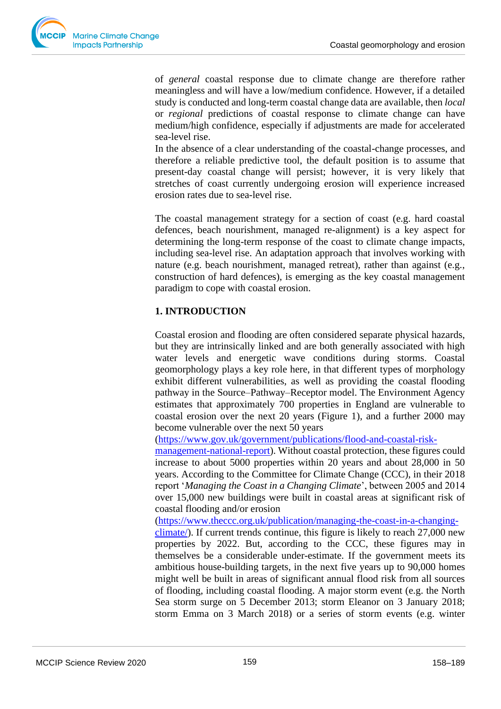of *general* coastal response due to climate change are therefore rather meaningless and will have a low/medium confidence. However, if a detailed study is conducted and long-term coastal change data are available, then *local* or *regional* predictions of coastal response to climate change can have medium/high confidence, especially if adjustments are made for accelerated sea-level rise.

In the absence of a clear understanding of the coastal-change processes, and therefore a reliable predictive tool, the default position is to assume that present-day coastal change will persist; however, it is very likely that stretches of coast currently undergoing erosion will experience increased erosion rates due to sea-level rise.

The coastal management strategy for a section of coast (e.g. hard coastal defences, beach nourishment, managed re-alignment) is a key aspect for determining the long-term response of the coast to climate change impacts, including sea-level rise. An adaptation approach that involves working with nature (e.g. beach nourishment, managed retreat), rather than against (e.g., construction of hard defences), is emerging as the key coastal management paradigm to cope with coastal erosion.

# **1. INTRODUCTION**

Coastal erosion and flooding are often considered separate physical hazards, but they are intrinsically linked and are both generally associated with high water levels and energetic wave conditions during storms. Coastal geomorphology plays a key role here, in that different types of morphology exhibit different vulnerabilities, as well as providing the coastal flooding pathway in the Source–Pathway–Receptor model. The Environment Agency estimates that approximately 700 properties in England are vulnerable to coastal erosion over the next 20 years (Figure 1), and a further 2000 may become vulnerable over the next 50 years

[\(https://www.gov.uk/government/publications/flood-and-coastal-risk-](https://www.gov.uk/government/publications/flood-and-coastal-risk-management-national-report)

[management-national-report\)](https://www.gov.uk/government/publications/flood-and-coastal-risk-management-national-report). Without coastal protection, these figures could increase to about 5000 properties within 20 years and about 28,000 in 50 years. According to the Committee for Climate Change (CCC), in their 2018 report '*Managing the Coast in a Changing Climate*', between 2005 and 2014 over 15,000 new buildings were built in coastal areas at significant risk of coastal flooding and/or erosion

[\(https://www.theccc.org.uk/publication/managing-the-coast-in-a-changing-](https://www.theccc.org.uk/publication/managing-the-coast-in-a-changing-climate/)

[climate/\)](https://www.theccc.org.uk/publication/managing-the-coast-in-a-changing-climate/). If current trends continue, this figure is likely to reach 27,000 new properties by 2022. But, according to the CCC, these figures may in themselves be a considerable under-estimate. If the government meets its ambitious house-building targets, in the next five years up to 90,000 homes might well be built in areas of significant annual flood risk from all sources of flooding, including coastal flooding. A major storm event (e.g. the North Sea storm surge on 5 December 2013; storm Eleanor on 3 January 2018; storm Emma on 3 March 2018) or a series of storm events (e.g. winter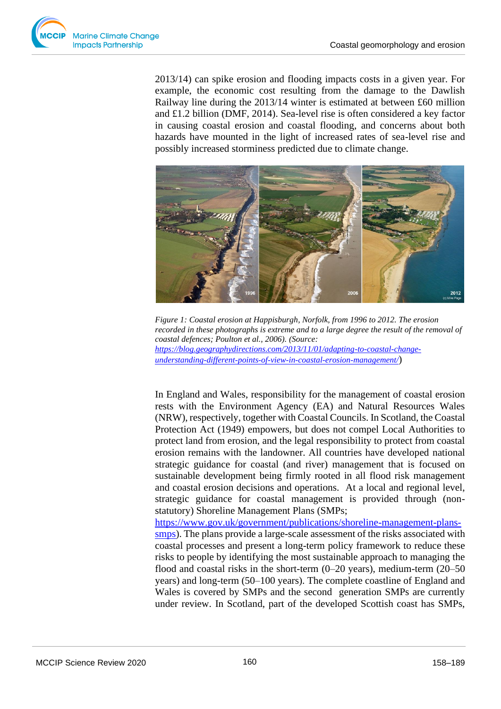

2013/14) can spike erosion and flooding impacts costs in a given year. For example, the economic cost resulting from the damage to the Dawlish Railway line during the 2013/14 winter is estimated at between £60 million and £1.2 billion (DMF, 2014). Sea-level rise is often considered a key factor in causing coastal erosion and coastal flooding, and concerns about both hazards have mounted in the light of increased rates of sea-level rise and possibly increased storminess predicted due to climate change.



*Figure 1: Coastal erosion at Happisburgh, Norfolk, from 1996 to 2012. The erosion recorded in these photographs is extreme and to a large degree the result of the removal of coastal defences; Poulton et al., 2006). (Source: [https://blog.geographydirections.com/2013/11/01/adapting-to-coastal-change](https://blog.geographydirections.com/2013/11/01/adapting-to-coastal-change-understanding-different-points-of-view-in-coastal-erosion-management/)[understanding-different-points-of-view-in-coastal-erosion-management/](https://blog.geographydirections.com/2013/11/01/adapting-to-coastal-change-understanding-different-points-of-view-in-coastal-erosion-management/)*)

In England and Wales, responsibility for the management of coastal erosion rests with the Environment Agency (EA) and Natural Resources Wales (NRW), respectively, together with Coastal Councils. In Scotland, the Coastal Protection Act (1949) empowers, but does not compel Local Authorities to protect land from erosion, and the legal responsibility to protect from coastal erosion remains with the landowner. All countries have developed national strategic guidance for coastal (and river) management that is focused on sustainable development being firmly rooted in all flood risk management and coastal erosion decisions and operations. At a local and regional level, strategic guidance for coastal management is provided through (nonstatutory) Shoreline Management Plans (SMPs;

[https://www.gov.uk/government/publications/shoreline-management-plans](https://www.gov.uk/government/publications/shoreline-management-plans-smps)[smps\)](https://www.gov.uk/government/publications/shoreline-management-plans-smps). The plans provide a large-scale assessment of the risks associated with coastal processes and present a long-term policy framework to reduce these risks to people by identifying the most sustainable approach to managing the flood and coastal risks in the short-term (0–20 years), medium-term (20–50 years) and long-term (50–100 years). The complete coastline of England and Wales is covered by SMPs and the second generation SMPs are currently under review. In Scotland, part of the developed Scottish coast has SMPs,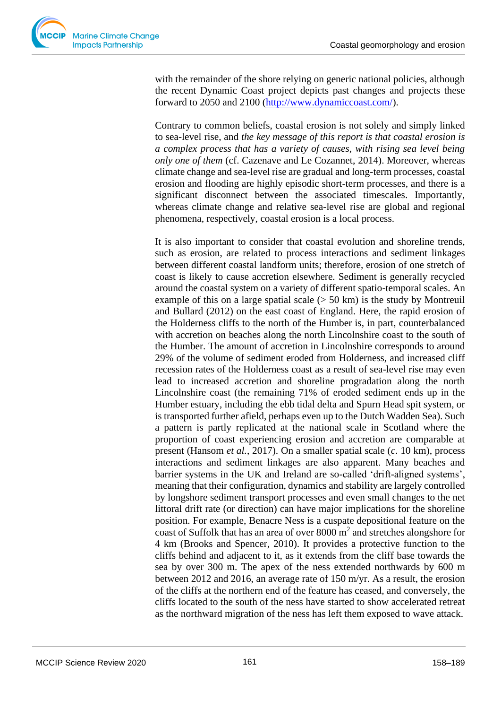with the remainder of the shore relying on generic national policies, although the recent Dynamic Coast project depicts past changes and projects these forward to 2050 and 2100 [\(http://www.dynamiccoast.com/\)](http://www.dynamiccoast.com/).

Contrary to common beliefs, coastal erosion is not solely and simply linked to sea-level rise, and *the key message of this report is that coastal erosion is a complex process that has a variety of causes, with rising sea level being only one of them* (cf. Cazenave and Le Cozannet, 2014). Moreover, whereas climate change and sea-level rise are gradual and long-term processes, coastal erosion and flooding are highly episodic short-term processes, and there is a significant disconnect between the associated timescales. Importantly, whereas climate change and relative sea-level rise are global and regional phenomena, respectively, coastal erosion is a local process.

It is also important to consider that coastal evolution and shoreline trends, such as erosion, are related to process interactions and sediment linkages between different coastal landform units; therefore, erosion of one stretch of coast is likely to cause accretion elsewhere. Sediment is generally recycled around the coastal system on a variety of different spatio-temporal scales. An example of this on a large spatial scale  $(> 50 \text{ km})$  is the study by Montreuil and Bullard (2012) on the east coast of England. Here, the rapid erosion of the Holderness cliffs to the north of the Humber is, in part, counterbalanced with accretion on beaches along the north Lincolnshire coast to the south of the Humber. The amount of accretion in Lincolnshire corresponds to around 29% of the volume of sediment eroded from Holderness, and increased cliff recession rates of the Holderness coast as a result of sea-level rise may even lead to increased accretion and shoreline progradation along the north Lincolnshire coast (the remaining 71% of eroded sediment ends up in the Humber estuary, including the ebb tidal delta and Spurn Head spit system, or is transported further afield, perhaps even up to the Dutch Wadden Sea). Such a pattern is partly replicated at the national scale in Scotland where the proportion of coast experiencing erosion and accretion are comparable at present (Hansom *et al.*, 2017). On a smaller spatial scale (*c*. 10 km), process interactions and sediment linkages are also apparent. Many beaches and barrier systems in the UK and Ireland are so-called 'drift-aligned systems', meaning that their configuration, dynamics and stability are largely controlled by longshore sediment transport processes and even small changes to the net littoral drift rate (or direction) can have major implications for the shoreline position. For example, Benacre Ness is a cuspate depositional feature on the coast of Suffolk that has an area of over  $8000 \text{ m}^2$  and stretches alongshore for 4 km (Brooks and Spencer, 2010). It provides a protective function to the cliffs behind and adjacent to it, as it extends from the cliff base towards the sea by over 300 m. The apex of the ness extended northwards by 600 m between 2012 and 2016, an average rate of 150 m/yr. As a result, the erosion of the cliffs at the northern end of the feature has ceased, and conversely, the cliffs located to the south of the ness have started to show accelerated retreat as the northward migration of the ness has left them exposed to wave attack.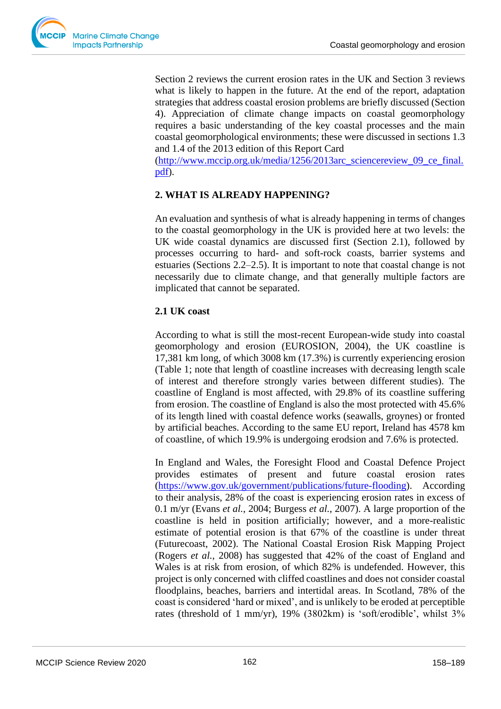

Section 2 reviews the current erosion rates in the UK and Section 3 reviews what is likely to happen in the future. At the end of the report, adaptation strategies that address coastal erosion problems are briefly discussed (Section 4). Appreciation of climate change impacts on coastal geomorphology requires a basic understanding of the key coastal processes and the main coastal geomorphological environments; these were discussed in sections 1.3 and 1.4 of the 2013 edition of this Report Card

[\(http://www.mccip.org.uk/media/1256/2013arc\\_sciencereview\\_09\\_ce\\_final.](http://www.mccip.org.uk/media/1256/2013arc_sciencereview_09_ce_final.pdf) [pdf\)](http://www.mccip.org.uk/media/1256/2013arc_sciencereview_09_ce_final.pdf).

# **2. WHAT IS ALREADY HAPPENING?**

An evaluation and synthesis of what is already happening in terms of changes to the coastal geomorphology in the UK is provided here at two levels: the UK wide coastal dynamics are discussed first (Section 2.1), followed by processes occurring to hard- and soft-rock coasts, barrier systems and estuaries (Sections 2.2–2.5). It is important to note that coastal change is not necessarily due to climate change, and that generally multiple factors are implicated that cannot be separated.

# **2.1 UK coast**

According to what is still the most-recent European-wide study into coastal geomorphology and erosion (EUROSION, 2004), the UK coastline is 17,381 km long, of which 3008 km (17.3%) is currently experiencing erosion (Table 1; note that length of coastline increases with decreasing length scale of interest and therefore strongly varies between different studies). The coastline of England is most affected, with 29.8% of its coastline suffering from erosion. The coastline of England is also the most protected with 45.6% of its length lined with coastal defence works (seawalls, groynes) or fronted by artificial beaches. According to the same EU report, Ireland has 4578 km of coastline, of which 19.9% is undergoing erodsion and 7.6% is protected.

In England and Wales, the Foresight Flood and Coastal Defence Project provides estimates of present and future coastal erosion rates [\(https://www.gov.uk/government/publications/future-flooding\)](https://www.gov.uk/government/publications/future-flooding). According to their analysis, 28% of the coast is experiencing erosion rates in excess of 0.1 m/yr (Evans *et al.*, 2004; Burgess *et al.*, 2007). A large proportion of the coastline is held in position artificially; however, and a more-realistic estimate of potential erosion is that 67% of the coastline is under threat (Futurecoast, 2002). The National Coastal Erosion Risk Mapping Project (Rogers *et al.*, 2008) has suggested that 42% of the coast of England and Wales is at risk from erosion, of which 82% is undefended. However, this project is only concerned with cliffed coastlines and does not consider coastal floodplains, beaches, barriers and intertidal areas. In Scotland, 78% of the coast is considered 'hard or mixed', and is unlikely to be eroded at perceptible rates (threshold of 1 mm/yr), 19% (3802km) is 'soft/erodible', whilst 3%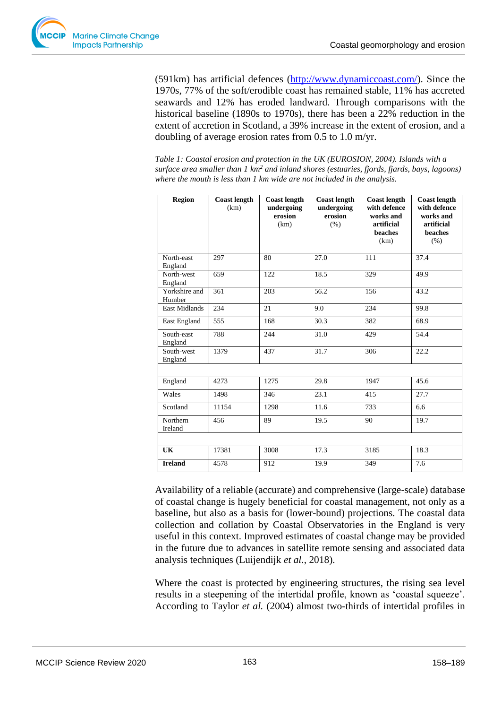

(591km) has artificial defences [\(http://www.dynamiccoast.com/\)](http://www.dynamiccoast.com/). Since the 1970s, 77% of the soft/erodible coast has remained stable, 11% has accreted seawards and 12% has eroded landward. Through comparisons with the historical baseline (1890s to 1970s), there has been a 22% reduction in the extent of accretion in Scotland, a 39% increase in the extent of erosion, and a doubling of average erosion rates from 0.5 to 1.0 m/yr.

*Table 1: Coastal erosion and protection in the UK (EUROSION, 2004). Islands with a surface area smaller than 1 km<sup>2</sup> and inland shores (estuaries, fjords, fjards, bays, lagoons) where the mouth is less than 1 km wide are not included in the analysis.* 

| <b>Region</b>           | <b>Coast length</b><br>(km) | <b>Coast length</b><br>undergoing<br>erosion<br>(km) | <b>Coast length</b><br>undergoing<br>erosion<br>(% ) | <b>Coast length</b><br>with defence<br>works and<br>artificial<br>beaches<br>(km) | <b>Coast length</b><br>with defence<br>works and<br>artificial<br>beaches<br>(% ) |
|-------------------------|-----------------------------|------------------------------------------------------|------------------------------------------------------|-----------------------------------------------------------------------------------|-----------------------------------------------------------------------------------|
| North-east<br>England   | 297                         | 80                                                   | 27.0                                                 | 111                                                                               | 37.4                                                                              |
| North-west<br>England   | 659                         | 122                                                  | 18.5                                                 | 329                                                                               | 49.9                                                                              |
| Yorkshire and<br>Humber | 361                         | 203                                                  | 56.2                                                 | 156                                                                               | 43.2                                                                              |
| <b>East Midlands</b>    | 234                         | 21                                                   | 9.0                                                  | 234                                                                               | 99.8                                                                              |
| East England            | 555                         | 168                                                  | 30.3                                                 | 382                                                                               | 68.9                                                                              |
| South-east<br>England   | 788                         | 244                                                  | 31.0                                                 | 429                                                                               | 54.4                                                                              |
| South-west<br>England   | 1379                        | 437                                                  | 31.7                                                 | 306                                                                               | 22.2                                                                              |
|                         |                             |                                                      |                                                      |                                                                                   |                                                                                   |
| England                 | 4273                        | 1275                                                 | 29.8                                                 | 1947                                                                              | 45.6                                                                              |
| Wales                   | 1498                        | 346                                                  | 23.1                                                 | 415                                                                               | 27.7                                                                              |
| Scotland                | 11154                       | 1298                                                 | 11.6                                                 | 733                                                                               | 6.6                                                                               |
| Northern<br>Ireland     | 456                         | 89                                                   | 19.5                                                 | 90                                                                                | 19.7                                                                              |
|                         |                             |                                                      |                                                      |                                                                                   |                                                                                   |
| UK                      | 17381                       | 3008                                                 | 17.3                                                 | 3185                                                                              | 18.3                                                                              |
| <b>Ireland</b>          | 4578                        | 912                                                  | 19.9                                                 | 349                                                                               | 7.6                                                                               |

Availability of a reliable (accurate) and comprehensive (large-scale) database of coastal change is hugely beneficial for coastal management, not only as a baseline, but also as a basis for (lower-bound) projections. The coastal data collection and collation by Coastal Observatories in the England is very useful in this context. Improved estimates of coastal change may be provided in the future due to advances in satellite remote sensing and associated data analysis techniques (Luijendijk *et al.*, 2018).

Where the coast is protected by engineering structures, the rising sea level results in a steepening of the intertidal profile, known as 'coastal squeeze'. According to Taylor *et al.* (2004) almost two-thirds of intertidal profiles in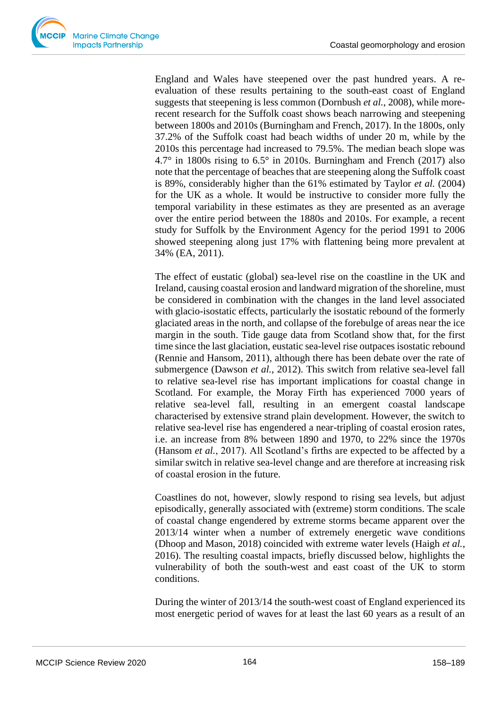

England and Wales have steepened over the past hundred years. A reevaluation of these results pertaining to the south-east coast of England suggests that steepening is less common (Dornbush *et al.*, 2008), while morerecent research for the Suffolk coast shows beach narrowing and steepening between 1800s and 2010s (Burningham and French, 2017). In the 1800s, only 37.2% of the Suffolk coast had beach widths of under 20 m, while by the 2010s this percentage had increased to 79.5%. The median beach slope was 4.7° in 1800s rising to 6.5° in 2010s. Burningham and French (2017) also note that the percentage of beaches that are steepening along the Suffolk coast is 89%, considerably higher than the 61% estimated by Taylor *et al.* (2004) for the UK as a whole. It would be instructive to consider more fully the temporal variability in these estimates as they are presented as an average over the entire period between the 1880s and 2010s. For example, a recent study for Suffolk by the Environment Agency for the period 1991 to 2006 showed steepening along just 17% with flattening being more prevalent at 34% (EA, 2011).

The effect of eustatic (global) sea-level rise on the coastline in the UK and Ireland, causing coastal erosion and landward migration of the shoreline, must be considered in combination with the changes in the land level associated with glacio-isostatic effects, particularly the isostatic rebound of the formerly glaciated areas in the north, and collapse of the forebulge of areas near the ice margin in the south. Tide gauge data from Scotland show that, for the first time since the last glaciation, eustatic sea-level rise outpaces isostatic rebound (Rennie and Hansom, 2011), although there has been debate over the rate of submergence (Dawson *et al.*, 2012). This switch from relative sea-level fall to relative sea-level rise has important implications for coastal change in Scotland. For example, the Moray Firth has experienced 7000 years of relative sea-level fall, resulting in an emergent coastal landscape characterised by extensive strand plain development. However, the switch to relative sea-level rise has engendered a near-tripling of coastal erosion rates, i.e. an increase from 8% between 1890 and 1970, to 22% since the 1970s (Hansom *et al.*, 2017). All Scotland's firths are expected to be affected by a similar switch in relative sea-level change and are therefore at increasing risk of coastal erosion in the future.

Coastlines do not, however, slowly respond to rising sea levels, but adjust episodically, generally associated with (extreme) storm conditions. The scale of coastal change engendered by extreme storms became apparent over the 2013/14 winter when a number of extremely energetic wave conditions (Dhoop and Mason, 2018) coincided with extreme water levels (Haigh *et al.*, 2016). The resulting coastal impacts, briefly discussed below, highlights the vulnerability of both the south-west and east coast of the UK to storm conditions.

During the winter of 2013/14 the south-west coast of England experienced its most energetic period of waves for at least the last 60 years as a result of an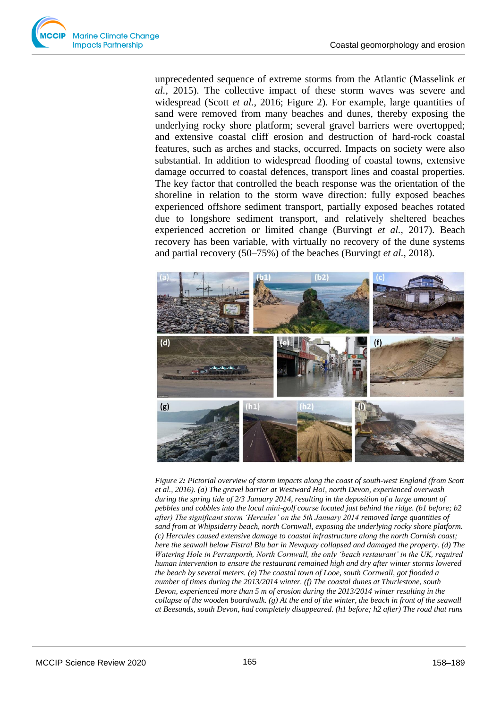

unprecedented sequence of extreme storms from the Atlantic (Masselink *et al.*, 2015). The collective impact of these storm waves was severe and widespread (Scott *et al.*, 2016; Figure 2). For example, large quantities of sand were removed from many beaches and dunes, thereby exposing the underlying rocky shore platform; several gravel barriers were overtopped; and extensive coastal cliff erosion and destruction of hard-rock coastal features, such as arches and stacks, occurred. Impacts on society were also substantial. In addition to widespread flooding of coastal towns, extensive damage occurred to coastal defences, transport lines and coastal properties. The key factor that controlled the beach response was the orientation of the shoreline in relation to the storm wave direction: fully exposed beaches experienced offshore sediment transport, partially exposed beaches rotated due to longshore sediment transport, and relatively sheltered beaches experienced accretion or limited change (Burvingt *et al.*, 2017). Beach recovery has been variable, with virtually no recovery of the dune systems and partial recovery (50–75%) of the beaches (Burvingt *et al.*, 2018).



*Figure 2: Pictorial overview of storm impacts along the coast of south-west England (from Scott et al., 2016). (a) The gravel barrier at Westward Ho!, north Devon, experienced overwash during the spring tide of 2/3 January 2014, resulting in the deposition of a large amount of pebbles and cobbles into the local mini-golf course located just behind the ridge. (b1 before; b2 after) The significant storm 'Hercules' on the 5th January 2014 removed large quantities of sand from at Whipsiderry beach, north Cornwall, exposing the underlying rocky shore platform. (c) Hercules caused extensive damage to coastal infrastructure along the north Cornish coast; here the seawall below Fistral Blu bar in Newquay collapsed and damaged the property. (d) The Watering Hole in Perranporth, North Cornwall, the only 'beach restaurant' in the UK, required human intervention to ensure the restaurant remained high and dry after winter storms lowered the beach by several meters. (e) The coastal town of Looe, south Cornwall, got flooded a number of times during the 2013/2014 winter. (f) The coastal dunes at Thurlestone, south Devon, experienced more than 5 m of erosion during the 2013/2014 winter resulting in the collapse of the wooden boardwalk. (g) At the end of the winter, the beach in front of the seawall at Beesands, south Devon, had completely disappeared. (h1 before; h2 after) The road that runs*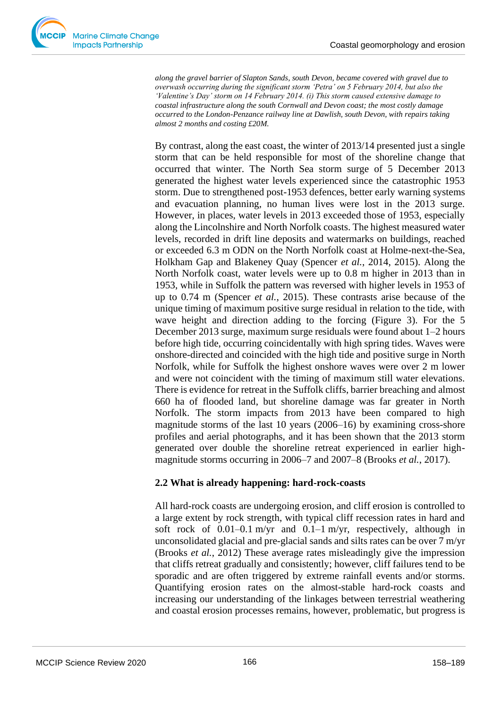

*along the gravel barrier of Slapton Sands, south Devon, became covered with gravel due to overwash occurring during the significant storm 'Petra' on 5 February 2014, but also the 'Valentine's Day' storm on 14 February 2014. (i) This storm caused extensive damage to coastal infrastructure along the south Cornwall and Devon coast; the most costly damage occurred to the London-Penzance railway line at Dawlish, south Devon, with repairs taking almost 2 months and costing £20M.*

By contrast, along the east coast, the winter of 2013/14 presented just a single storm that can be held responsible for most of the shoreline change that occurred that winter. The North Sea storm surge of 5 December 2013 generated the highest water levels experienced since the catastrophic 1953 storm. Due to strengthened post-1953 defences, better early warning systems and evacuation planning, no human lives were lost in the 2013 surge. However, in places, water levels in 2013 exceeded those of 1953, especially along the Lincolnshire and North Norfolk coasts. The highest measured water levels, recorded in drift line deposits and watermarks on buildings, reached or exceeded 6.3 m ODN on the North Norfolk coast at Holme-next-the-Sea, Holkham Gap and Blakeney Quay (Spencer *et al.*, 2014, 2015). Along the North Norfolk coast, water levels were up to 0.8 m higher in 2013 than in 1953, while in Suffolk the pattern was reversed with higher levels in 1953 of up to 0.74 m (Spencer *et al.*, 2015). These contrasts arise because of the unique timing of maximum positive surge residual in relation to the tide, with wave height and direction adding to the forcing (Figure 3). For the 5 December 2013 surge, maximum surge residuals were found about 1–2 hours before high tide, occurring coincidentally with high spring tides. Waves were onshore-directed and coincided with the high tide and positive surge in North Norfolk, while for Suffolk the highest onshore waves were over 2 m lower and were not coincident with the timing of maximum still water elevations. There is evidence for retreat in the Suffolk cliffs, barrier breaching and almost 660 ha of flooded land, but shoreline damage was far greater in North Norfolk. The storm impacts from 2013 have been compared to high magnitude storms of the last 10 years (2006–16) by examining cross-shore profiles and aerial photographs, and it has been shown that the 2013 storm generated over double the shoreline retreat experienced in earlier highmagnitude storms occurring in 2006–7 and 2007–8 (Brooks *et al.*, 2017).

# **2.2 What is already happening: hard-rock-coasts**

All hard-rock coasts are undergoing erosion, and cliff erosion is controlled to a large extent by rock strength, with typical cliff recession rates in hard and soft rock of  $0.01-0.1$  m/yr and  $0.1-1$  m/yr, respectively, although in unconsolidated glacial and pre-glacial sands and silts rates can be over 7 m/yr (Brooks *et al.*, 2012) These average rates misleadingly give the impression that cliffs retreat gradually and consistently; however, cliff failures tend to be sporadic and are often triggered by extreme rainfall events and/or storms. Quantifying erosion rates on the almost-stable hard-rock coasts and increasing our understanding of the linkages between terrestrial weathering and coastal erosion processes remains, however, problematic, but progress is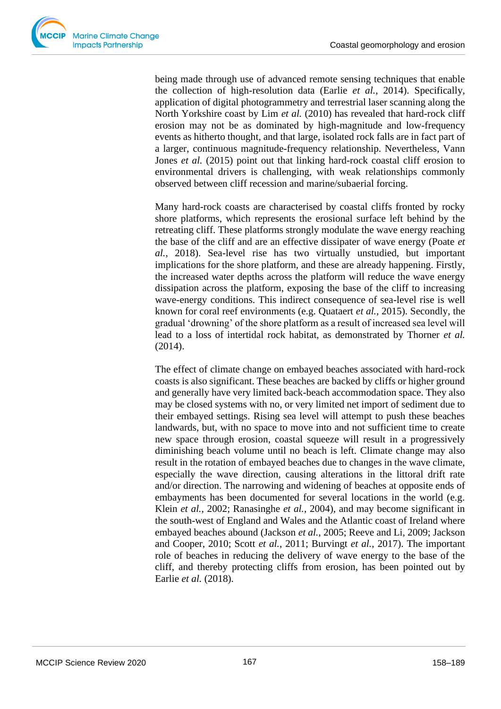being made through use of advanced remote sensing techniques that enable the collection of high-resolution data (Earlie *et al.*, 2014). Specifically, application of digital photogrammetry and terrestrial laser scanning along the North Yorkshire coast by Lim *et al.* (2010) has revealed that hard-rock cliff erosion may not be as dominated by high-magnitude and low-frequency events as hitherto thought, and that large, isolated rock falls are in fact part of a larger, continuous magnitude-frequency relationship. Nevertheless, Vann Jones *et al.* (2015) point out that linking hard-rock coastal cliff erosion to environmental drivers is challenging, with weak relationships commonly observed between cliff recession and marine/subaerial forcing.

Many hard-rock coasts are characterised by coastal cliffs fronted by rocky shore platforms, which represents the erosional surface left behind by the retreating cliff. These platforms strongly modulate the wave energy reaching the base of the cliff and are an effective dissipater of wave energy (Poate *et al.*, 2018). Sea-level rise has two virtually unstudied, but important implications for the shore platform, and these are already happening. Firstly, the increased water depths across the platform will reduce the wave energy dissipation across the platform, exposing the base of the cliff to increasing wave-energy conditions. This indirect consequence of sea-level rise is well known for coral reef environments (e.g. Quataert *et al.*, 2015). Secondly, the gradual 'drowning' of the shore platform as a result of increased sea level will lead to a loss of intertidal rock habitat, as demonstrated by Thorner *et al.* (2014).

The effect of climate change on embayed beaches associated with hard-rock coasts is also significant. These beaches are backed by cliffs or higher ground and generally have very limited back-beach accommodation space. They also may be closed systems with no, or very limited net import of sediment due to their embayed settings. Rising sea level will attempt to push these beaches landwards, but, with no space to move into and not sufficient time to create new space through erosion, coastal squeeze will result in a progressively diminishing beach volume until no beach is left. Climate change may also result in the rotation of embayed beaches due to changes in the wave climate, especially the wave direction, causing alterations in the littoral drift rate and/or direction. The narrowing and widening of beaches at opposite ends of embayments has been documented for several locations in the world (e.g. Klein *et al.*, 2002; Ranasinghe *et al.*, 2004), and may become significant in the south-west of England and Wales and the Atlantic coast of Ireland where embayed beaches abound (Jackson *et al.*, 2005; Reeve and Li, 2009; Jackson and Cooper, 2010; Scott *et al.*, 2011; Burvingt *et al.*, 2017). The important role of beaches in reducing the delivery of wave energy to the base of the cliff, and thereby protecting cliffs from erosion, has been pointed out by Earlie *et al.* (2018).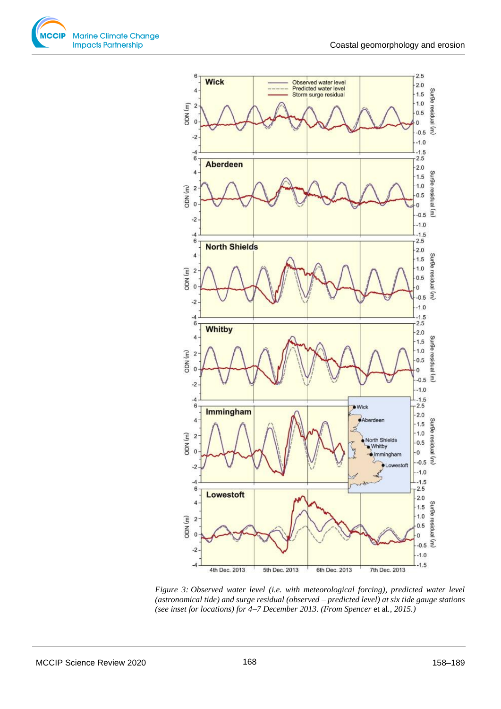



*Figure 3: Observed water level (i.e. with meteorological forcing), predicted water level (astronomical tide) and surge residual (observed – predicted level) at six tide gauge stations (see inset for locations) for 4–7 December 2013. (From Spencer et al., 2015.)*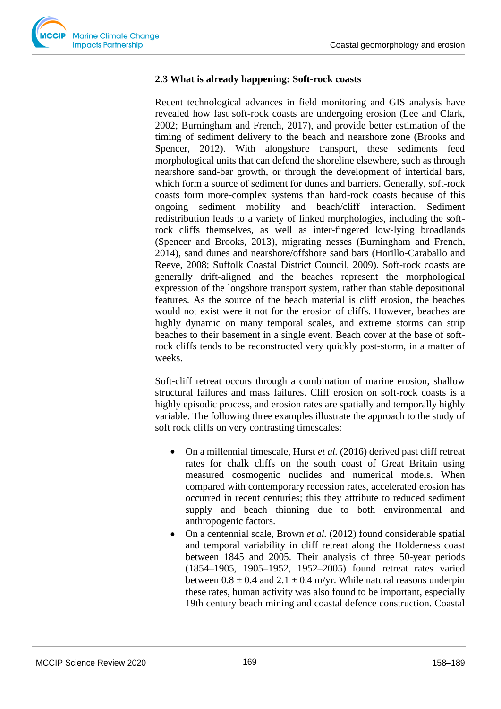

# **2.3 What is already happening: Soft-rock coasts**

Recent technological advances in field monitoring and GIS analysis have revealed how fast soft-rock coasts are undergoing erosion (Lee and Clark, 2002; Burningham and French, 2017), and provide better estimation of the timing of sediment delivery to the beach and nearshore zone (Brooks and Spencer, 2012). With alongshore transport, these sediments feed morphological units that can defend the shoreline elsewhere, such as through nearshore sand-bar growth, or through the development of intertidal bars, which form a source of sediment for dunes and barriers. Generally, soft-rock coasts form more-complex systems than hard-rock coasts because of this ongoing sediment mobility and beach/cliff interaction. Sediment redistribution leads to a variety of linked morphologies, including the softrock cliffs themselves, as well as inter-fingered low-lying broadlands (Spencer and Brooks, 2013), migrating nesses (Burningham and French, 2014), sand dunes and nearshore/offshore sand bars (Horillo-Caraballo and Reeve, 2008; Suffolk Coastal District Council, 2009). Soft-rock coasts are generally drift-aligned and the beaches represent the morphological expression of the longshore transport system, rather than stable depositional features. As the source of the beach material is cliff erosion, the beaches would not exist were it not for the erosion of cliffs. However, beaches are highly dynamic on many temporal scales, and extreme storms can strip beaches to their basement in a single event. Beach cover at the base of softrock cliffs tends to be reconstructed very quickly post-storm, in a matter of weeks.

Soft-cliff retreat occurs through a combination of marine erosion, shallow structural failures and mass failures. Cliff erosion on soft-rock coasts is a highly episodic process, and erosion rates are spatially and temporally highly variable. The following three examples illustrate the approach to the study of soft rock cliffs on very contrasting timescales:

- On a millennial timescale, Hurst *et al.* (2016) derived past cliff retreat rates for chalk cliffs on the south coast of Great Britain using measured cosmogenic nuclides and numerical models. When compared with contemporary recession rates, accelerated erosion has occurred in recent centuries; this they attribute to reduced sediment supply and beach thinning due to both environmental and anthropogenic factors.
- On a centennial scale, Brown *et al.* (2012) found considerable spatial and temporal variability in cliff retreat along the Holderness coast between 1845 and 2005. Their analysis of three 50-year periods (1854–1905, 1905–1952, 1952–2005) found retreat rates varied between  $0.8 \pm 0.4$  and  $2.1 \pm 0.4$  m/yr. While natural reasons underpin these rates, human activity was also found to be important, especially 19th century beach mining and coastal defence construction. Coastal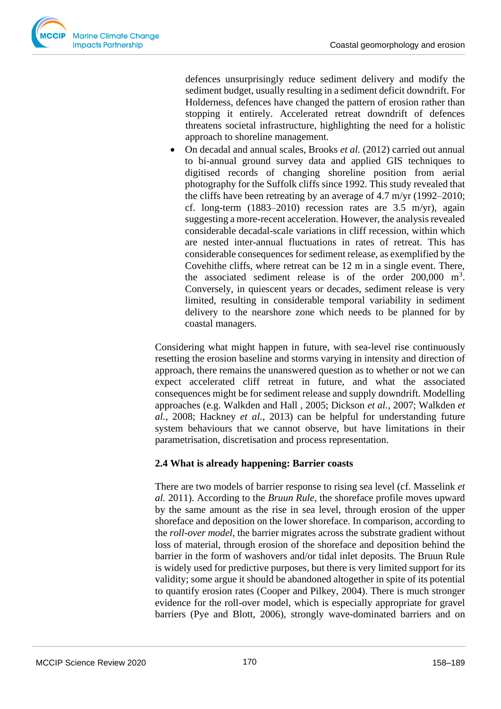defences unsurprisingly reduce sediment delivery and modify the sediment budget, usually resulting in a sediment deficit downdrift. For Holderness, defences have changed the pattern of erosion rather than stopping it entirely. Accelerated retreat downdrift of defences threatens societal infrastructure, highlighting the need for a holistic approach to shoreline management.

• On decadal and annual scales, Brooks *et al.* (2012) carried out annual to bi-annual ground survey data and applied GIS techniques to digitised records of changing shoreline position from aerial photography for the Suffolk cliffs since 1992. This study revealed that the cliffs have been retreating by an average of 4.7 m/yr (1992–2010; cf. long-term  $(1883-2010)$  recession rates are 3.5 m/yr), again suggesting a more-recent acceleration. However, the analysis revealed considerable decadal-scale variations in cliff recession, within which are nested inter-annual fluctuations in rates of retreat. This has considerable consequences for sediment release, as exemplified by the Covehithe cliffs, where retreat can be 12 m in a single event. There, the associated sediment release is of the order  $200,000$  m<sup>3</sup>. Conversely, in quiescent years or decades, sediment release is very limited, resulting in considerable temporal variability in sediment delivery to the nearshore zone which needs to be planned for by coastal managers.

Considering what might happen in future, with sea-level rise continuously resetting the erosion baseline and storms varying in intensity and direction of approach, there remains the unanswered question as to whether or not we can expect accelerated cliff retreat in future, and what the associated consequences might be for sediment release and supply downdrift. Modelling approaches (e.g. Walkden and Hall , 2005; Dickson *et al.*, 2007; Walkden *et al.*, 2008; Hackney *et al.*, 2013) can be helpful for understanding future system behaviours that we cannot observe, but have limitations in their parametrisation, discretisation and process representation.

# **2.4 What is already happening: Barrier coasts**

There are two models of barrier response to rising sea level (cf. Masselink *et al.* 2011). According to the *Bruun Rule*, the shoreface profile moves upward by the same amount as the rise in sea level, through erosion of the upper shoreface and deposition on the lower shoreface. In comparison, according to the *roll-over model*, the barrier migrates across the substrate gradient without loss of material, through erosion of the shoreface and deposition behind the barrier in the form of washovers and/or tidal inlet deposits. The Bruun Rule is widely used for predictive purposes, but there is very limited support for its validity; some argue it should be abandoned altogether in spite of its potential to quantify erosion rates (Cooper and Pilkey, 2004). There is much stronger evidence for the roll-over model, which is especially appropriate for gravel barriers (Pye and Blott, 2006), strongly wave-dominated barriers and on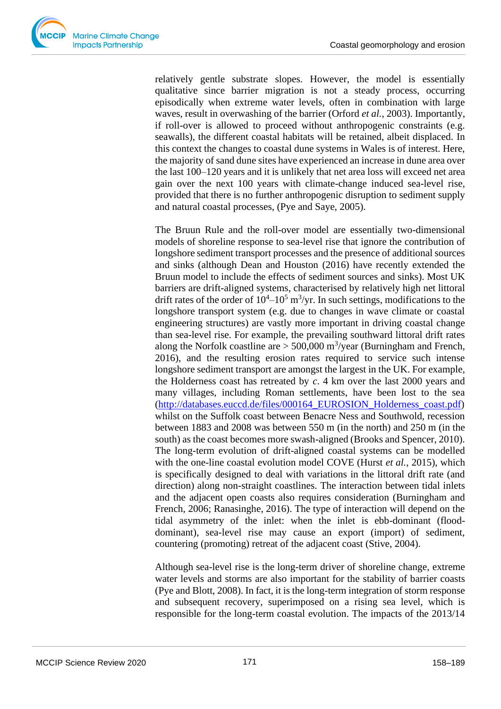relatively gentle substrate slopes. However, the model is essentially qualitative since barrier migration is not a steady process, occurring episodically when extreme water levels, often in combination with large waves, result in overwashing of the barrier (Orford *et al.*, 2003). Importantly, if roll-over is allowed to proceed without anthropogenic constraints (e.g. seawalls), the different coastal habitats will be retained, albeit displaced. In this context the changes to coastal dune systems in Wales is of interest. Here, the majority of sand dune sites have experienced an increase in dune area over the last 100–120 years and it is unlikely that net area loss will exceed net area gain over the next 100 years with climate-change induced sea-level rise, provided that there is no further anthropogenic disruption to sediment supply and natural coastal processes, (Pye and Saye, 2005).

The Bruun Rule and the roll-over model are essentially two-dimensional models of shoreline response to sea-level rise that ignore the contribution of longshore sediment transport processes and the presence of additional sources and sinks (although Dean and Houston (2016) have recently extended the Bruun model to include the effects of sediment sources and sinks). Most UK barriers are drift-aligned systems, characterised by relatively high net littoral drift rates of the order of  $10^4 - 10^5$  m<sup>3</sup>/yr. In such settings, modifications to the longshore transport system (e.g. due to changes in wave climate or coastal engineering structures) are vastly more important in driving coastal change than sea-level rise. For example, the prevailing southward littoral drift rates along the Norfolk coastline are  $>$  500,000 m<sup>3</sup>/year (Burningham and French, 2016), and the resulting erosion rates required to service such intense longshore sediment transport are amongst the largest in the UK. For example, the Holderness coast has retreated by *c*. 4 km over the last 2000 years and many villages, including Roman settlements, have been lost to the sea [\(http://databases.euccd.de/files/000164\\_EUROSION\\_Holderness\\_coast.pdf\)](http://databases.euccd.de/files/000164_EUROSION_Holderness_coast.pdf) whilst on the Suffolk coast between Benacre Ness and Southwold, recession between 1883 and 2008 was between 550 m (in the north) and 250 m (in the south) as the coast becomes more swash-aligned (Brooks and Spencer, 2010). The long-term evolution of drift-aligned coastal systems can be modelled with the one-line coastal evolution model COVE (Hurst *et al.*, 2015), which is specifically designed to deal with variations in the littoral drift rate (and direction) along non-straight coastlines. The interaction between tidal inlets and the adjacent open coasts also requires consideration (Burningham and French, 2006; Ranasinghe, 2016). The type of interaction will depend on the tidal asymmetry of the inlet: when the inlet is ebb-dominant (flooddominant), sea-level rise may cause an export (import) of sediment, countering (promoting) retreat of the adjacent coast (Stive, 2004).

Although sea-level rise is the long-term driver of shoreline change, extreme water levels and storms are also important for the stability of barrier coasts (Pye and Blott, 2008). In fact, it is the long-term integration of storm response and subsequent recovery, superimposed on a rising sea level, which is responsible for the long-term coastal evolution. The impacts of the 2013/14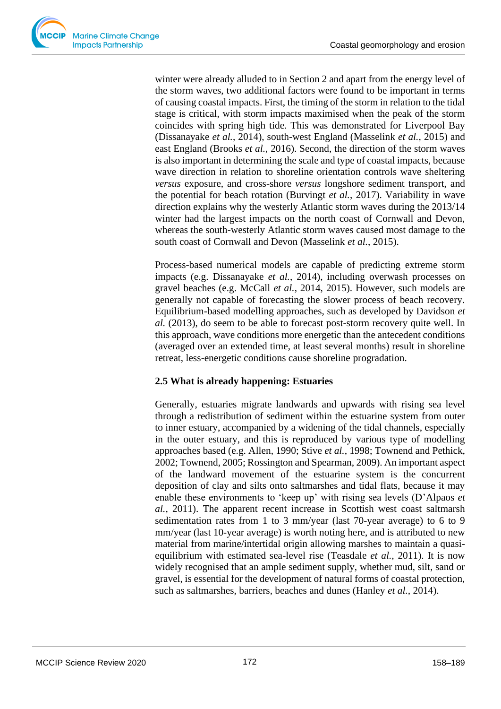winter were already alluded to in Section 2 and apart from the energy level of the storm waves, two additional factors were found to be important in terms of causing coastal impacts. First, the timing of the storm in relation to the tidal stage is critical, with storm impacts maximised when the peak of the storm coincides with spring high tide. This was demonstrated for Liverpool Bay (Dissanayake *et al.*, 2014), south-west England (Masselink *et al.*, 2015) and east England (Brooks *et al.*, 2016). Second, the direction of the storm waves is also important in determining the scale and type of coastal impacts, because wave direction in relation to shoreline orientation controls wave sheltering *versus* exposure, and cross-shore *versus* longshore sediment transport, and the potential for beach rotation (Burvingt *et al.*, 2017). Variability in wave direction explains why the westerly Atlantic storm waves during the 2013/14 winter had the largest impacts on the north coast of Cornwall and Devon, whereas the south-westerly Atlantic storm waves caused most damage to the south coast of Cornwall and Devon (Masselink *et al.*, 2015).

Process-based numerical models are capable of predicting extreme storm impacts (e.g. Dissanayake *et al.*, 2014), including overwash processes on gravel beaches (e.g. McCall *et al.*, 2014, 2015). However, such models are generally not capable of forecasting the slower process of beach recovery. Equilibrium-based modelling approaches, such as developed by Davidson *et al.* (2013), do seem to be able to forecast post-storm recovery quite well. In this approach, wave conditions more energetic than the antecedent conditions (averaged over an extended time, at least several months) result in shoreline retreat, less-energetic conditions cause shoreline progradation.

# **2.5 What is already happening: Estuaries**

Generally, estuaries migrate landwards and upwards with rising sea level through a redistribution of sediment within the estuarine system from outer to inner estuary, accompanied by a widening of the tidal channels, especially in the outer estuary, and this is reproduced by various type of modelling approaches based (e.g. Allen, 1990; Stive *et al.*, 1998; Townend and Pethick, 2002; Townend, 2005; Rossington and Spearman, 2009). An important aspect of the landward movement of the estuarine system is the concurrent deposition of clay and silts onto saltmarshes and tidal flats, because it may enable these environments to 'keep up' with rising sea levels (D'Alpaos *et al.*, 2011). The apparent recent increase in Scottish west coast saltmarsh sedimentation rates from 1 to 3 mm/year (last 70-year average) to 6 to 9 mm/year (last 10-year average) is worth noting here, and is attributed to new material from marine/intertidal origin allowing marshes to maintain a quasiequilibrium with estimated sea-level rise (Teasdale *et al.*, 2011). It is now widely recognised that an ample sediment supply, whether mud, silt, sand or gravel, is essential for the development of natural forms of coastal protection, such as saltmarshes, barriers, beaches and dunes (Hanley *et al.*, 2014).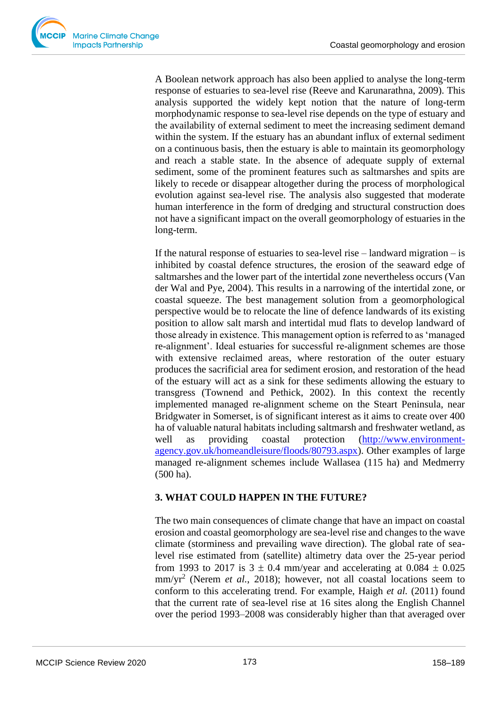A Boolean network approach has also been applied to analyse the long-term response of estuaries to sea-level rise (Reeve and Karunarathna, 2009). This analysis supported the widely kept notion that the nature of long-term morphodynamic response to sea-level rise depends on the type of estuary and the availability of external sediment to meet the increasing sediment demand within the system. If the estuary has an abundant influx of external sediment on a continuous basis, then the estuary is able to maintain its geomorphology and reach a stable state. In the absence of adequate supply of external sediment, some of the prominent features such as saltmarshes and spits are likely to recede or disappear altogether during the process of morphological evolution against sea-level rise. The analysis also suggested that moderate human interference in the form of dredging and structural construction does not have a significant impact on the overall geomorphology of estuaries in the long-term.

If the natural response of estuaries to sea-level rise – landward migration – is inhibited by coastal defence structures, the erosion of the seaward edge of saltmarshes and the lower part of the intertidal zone nevertheless occurs (Van der Wal and Pye, 2004). This results in a narrowing of the intertidal zone, or coastal squeeze. The best management solution from a geomorphological perspective would be to relocate the line of defence landwards of its existing position to allow salt marsh and intertidal mud flats to develop landward of those already in existence. This management option is referred to as 'managed re-alignment'. Ideal estuaries for successful re-alignment schemes are those with extensive reclaimed areas, where restoration of the outer estuary produces the sacrificial area for sediment erosion, and restoration of the head of the estuary will act as a sink for these sediments allowing the estuary to transgress (Townend and Pethick, 2002). In this context the recently implemented managed re-alignment scheme on the Steart Peninsula, near Bridgwater in Somerset, is of significant interest as it aims to create over 400 ha of valuable natural habitats including saltmarsh and freshwater wetland, as well as providing coastal protection [\(http://www.environment](http://www.environment-agency.gov.uk/homeandleisure/floods/80793.aspx)[agency.gov.uk/homeandleisure/floods/80793.aspx\)](http://www.environment-agency.gov.uk/homeandleisure/floods/80793.aspx). Other examples of large managed re-alignment schemes include Wallasea (115 ha) and Medmerry (500 ha).

# **3. WHAT COULD HAPPEN IN THE FUTURE?**

The two main consequences of climate change that have an impact on coastal erosion and coastal geomorphology are sea-level rise and changes to the wave climate (storminess and prevailing wave direction). The global rate of sealevel rise estimated from (satellite) altimetry data over the 25-year period from 1993 to 2017 is  $3 \pm 0.4$  mm/year and accelerating at  $0.084 \pm 0.025$ mm/yr<sup>2</sup> (Nerem *et al.*, 2018); however, not all coastal locations seem to conform to this accelerating trend. For example, Haigh *et al.* (2011) found that the current rate of sea-level rise at 16 sites along the English Channel over the period 1993–2008 was considerably higher than that averaged over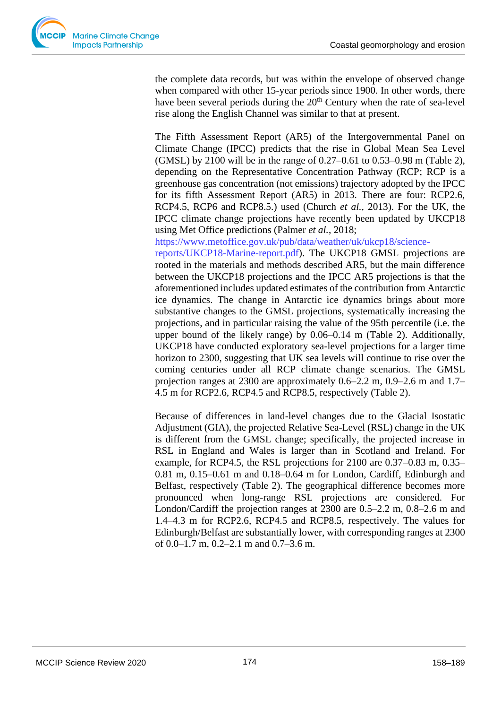

the complete data records, but was within the envelope of observed change when compared with other 15-year periods since 1900. In other words, there have been several periods during the  $20<sup>th</sup>$  Century when the rate of sea-level rise along the English Channel was similar to that at present.

The Fifth Assessment Report (AR5) of the Intergovernmental Panel on Climate Change (IPCC) predicts that the rise in Global Mean Sea Level (GMSL) by 2100 will be in the range of 0.27–0.61 to 0.53–0.98 m (Table 2), depending on the Representative Concentration Pathway (RCP; RCP is a greenhouse gas concentration (not emissions) trajectory adopted by the IPCC for its fifth Assessment Report (AR5) in 2013. There are four: RCP2.6, RCP4.5, RCP6 and RCP8.5.) used (Church *et al.*, 2013). For the UK, the IPCC climate change projections have recently been updated by UKCP18 using Met Office predictions (Palmer *et al.*, 2018;

https://www.metoffice.gov.uk/pub/data/weather/uk/ukcp18/science-

reports/UKCP18-Marine-report.pdf). The UKCP18 GMSL projections are rooted in the materials and methods described AR5, but the main difference between the UKCP18 projections and the IPCC AR5 projections is that the aforementioned includes updated estimates of the contribution from Antarctic ice dynamics. The change in Antarctic ice dynamics brings about more substantive changes to the GMSL projections, systematically increasing the projections, and in particular raising the value of the 95th percentile (i.e. the upper bound of the likely range) by 0.06–0.14 m (Table 2). Additionally, UKCP18 have conducted exploratory sea-level projections for a larger time horizon to 2300, suggesting that UK sea levels will continue to rise over the coming centuries under all RCP climate change scenarios. The GMSL projection ranges at 2300 are approximately 0.6–2.2 m, 0.9–2.6 m and 1.7– 4.5 m for RCP2.6, RCP4.5 and RCP8.5, respectively (Table 2).

Because of differences in land-level changes due to the Glacial Isostatic Adjustment (GIA), the projected Relative Sea-Level (RSL) change in the UK is different from the GMSL change; specifically, the projected increase in RSL in England and Wales is larger than in Scotland and Ireland. For example, for RCP4.5, the RSL projections for 2100 are 0.37–0.83 m, 0.35– 0.81 m, 0.15–0.61 m and 0.18–0.64 m for London, Cardiff, Edinburgh and Belfast, respectively (Table 2). The geographical difference becomes more pronounced when long-range RSL projections are considered. For London/Cardiff the projection ranges at 2300 are 0.5–2.2 m, 0.8–2.6 m and 1.4–4.3 m for RCP2.6, RCP4.5 and RCP8.5, respectively. The values for Edinburgh/Belfast are substantially lower, with corresponding ranges at 2300 of 0.0–1.7 m, 0.2–2.1 m and 0.7–3.6 m.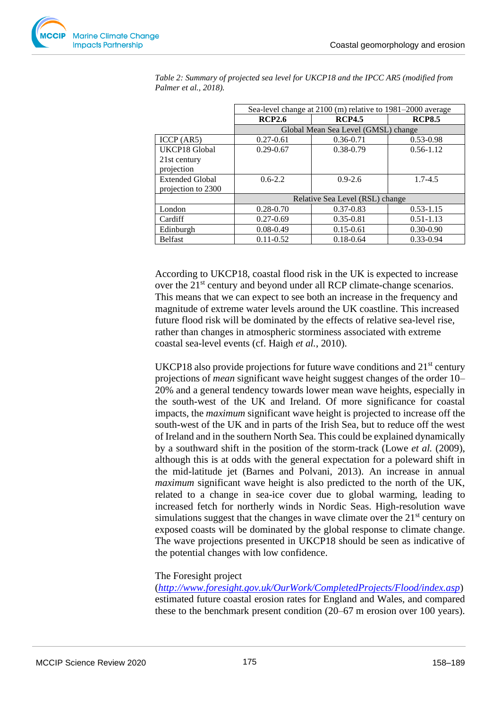

|                        | Sea-level change at 2100 (m) relative to 1981-2000 average |               |               |  |  |
|------------------------|------------------------------------------------------------|---------------|---------------|--|--|
|                        | <b>RCP2.6</b>                                              | <b>RCP4.5</b> | <b>RCP8.5</b> |  |  |
|                        | Global Mean Sea Level (GMSL) change                        |               |               |  |  |
| ICCP (AR5)             | $0.27 - 0.61$                                              | $0.36 - 0.71$ | $0.53 - 0.98$ |  |  |
| UKCP18 Global          | $0.29 - 0.67$                                              | 0.38-0.79     | $0.56 - 1.12$ |  |  |
| 21st century           |                                                            |               |               |  |  |
| projection             |                                                            |               |               |  |  |
| <b>Extended Global</b> | $0.6 - 2.2$                                                | $0.9 - 2.6$   | $1.7 - 4.5$   |  |  |
| projection to 2300     |                                                            |               |               |  |  |
|                        | Relative Sea Level (RSL) change                            |               |               |  |  |
| London                 | $0.28 - 0.70$                                              | $0.37 - 0.83$ | $0.53 - 1.15$ |  |  |
| Cardiff                | $0.27 - 0.69$                                              | $0.35 - 0.81$ | $0.51 - 1.13$ |  |  |
| Edinburgh              | $0.08 - 0.49$                                              | $0.15 - 0.61$ | $0.30 - 0.90$ |  |  |
| <b>Belfast</b>         | $0.11 - 0.52$                                              | $0.18 - 0.64$ | $0.33 - 0.94$ |  |  |

*Table 2: Summary of projected sea level for UKCP18 and the IPCC AR5 (modified from Palmer et al., 2018).* 

According to UKCP18, coastal flood risk in the UK is expected to increase over the 21<sup>st</sup> century and beyond under all RCP climate-change scenarios. This means that we can expect to see both an increase in the frequency and magnitude of extreme water levels around the UK coastline. This increased future flood risk will be dominated by the effects of relative sea-level rise, rather than changes in atmospheric storminess associated with extreme coastal sea-level events (cf. Haigh *et al.*, 2010).

UKCP18 also provide projections for future wave conditions and  $21<sup>st</sup>$  century projections of *mean* significant wave height suggest changes of the order 10– 20% and a general tendency towards lower mean wave heights, especially in the south-west of the UK and Ireland. Of more significance for coastal impacts, the *maximum* significant wave height is projected to increase off the south-west of the UK and in parts of the Irish Sea, but to reduce off the west of Ireland and in the southern North Sea. This could be explained dynamically by a southward shift in the position of the storm-track (Lowe *et al.* (2009), although this is at odds with the general expectation for a poleward shift in the mid-latitude jet (Barnes and Polvani, 2013). An increase in annual *maximum* significant wave height is also predicted to the north of the UK, related to a change in sea-ice cover due to global warming, leading to increased fetch for northerly winds in Nordic Seas. High-resolution wave simulations suggest that the changes in wave climate over the  $21<sup>st</sup>$  century on exposed coasts will be dominated by the global response to climate change. The wave projections presented in UKCP18 should be seen as indicative of the potential changes with low confidence.

# The Foresight project

(*<http://www.foresight.gov.uk/OurWork/CompletedProjects/Flood/index.asp>*) estimated future coastal erosion rates for England and Wales, and compared these to the benchmark present condition (20–67 m erosion over 100 years).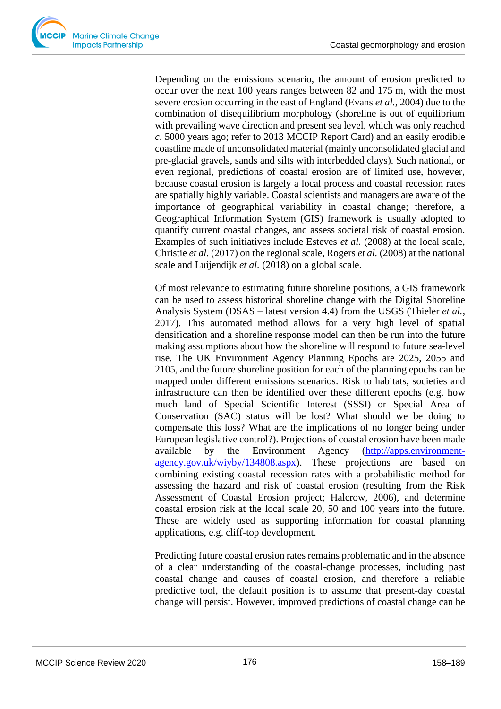Depending on the emissions scenario, the amount of erosion predicted to occur over the next 100 years ranges between 82 and 175 m, with the most severe erosion occurring in the east of England (Evans *et al.*, 2004) due to the combination of disequilibrium morphology (shoreline is out of equilibrium with prevailing wave direction and present sea level, which was only reached *c*. 5000 years ago; refer to 2013 MCCIP Report Card) and an easily erodible coastline made of unconsolidated material (mainly unconsolidated glacial and pre-glacial gravels, sands and silts with interbedded clays). Such national, or even regional, predictions of coastal erosion are of limited use, however, because coastal erosion is largely a local process and coastal recession rates are spatially highly variable. Coastal scientists and managers are aware of the importance of geographical variability in coastal change; therefore, a Geographical Information System (GIS) framework is usually adopted to quantify current coastal changes, and assess societal risk of coastal erosion. Examples of such initiatives include Esteves *et al.* (2008) at the local scale, Christie *et al.* (2017) on the regional scale, Rogers *et al.* (2008) at the national scale and Luijendijk *et al.* (2018) on a global scale.

Of most relevance to estimating future shoreline positions, a GIS framework can be used to assess historical shoreline change with the Digital Shoreline Analysis System (DSAS – latest version 4.4) from the USGS (Thieler *et al.*, 2017). This automated method allows for a very high level of spatial densification and a shoreline response model can then be run into the future making assumptions about how the shoreline will respond to future sea-level rise. The UK Environment Agency Planning Epochs are 2025, 2055 and 2105, and the future shoreline position for each of the planning epochs can be mapped under different emissions scenarios. Risk to habitats, societies and infrastructure can then be identified over these different epochs (e.g. how much land of Special Scientific Interest (SSSI) or Special Area of Conservation (SAC) status will be lost? What should we be doing to compensate this loss? What are the implications of no longer being under European legislative control?). Projections of coastal erosion have been made available by the Environment Agency [\(http://apps.environment](http://apps.environment-agency.gov.uk/wiyby/134808.aspx)[agency.gov.uk/wiyby/134808.aspx\)](http://apps.environment-agency.gov.uk/wiyby/134808.aspx). These projections are based on combining existing coastal recession rates with a probabilistic method for assessing the hazard and risk of coastal erosion (resulting from the Risk Assessment of Coastal Erosion project; Halcrow, 2006), and determine coastal erosion risk at the local scale 20, 50 and 100 years into the future. These are widely used as supporting information for coastal planning applications, e.g. cliff-top development.

Predicting future coastal erosion rates remains problematic and in the absence of a clear understanding of the coastal-change processes, including past coastal change and causes of coastal erosion, and therefore a reliable predictive tool, the default position is to assume that present-day coastal change will persist. However, improved predictions of coastal change can be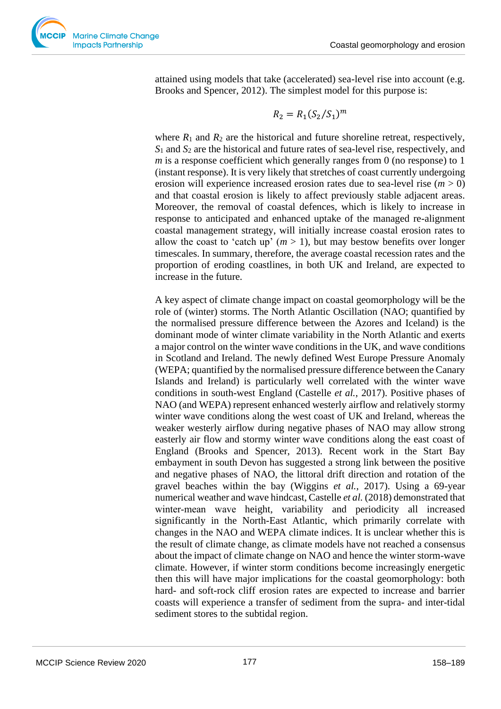

attained using models that take (accelerated) sea-level rise into account (e.g. Brooks and Spencer, 2012). The simplest model for this purpose is:

$$
R_2 = R_1(S_2/S_1)^m
$$

where  $R_1$  and  $R_2$  are the historical and future shoreline retreat, respectively, *S*<sup>1</sup> and *S*<sup>2</sup> are the historical and future rates of sea-level rise, respectively, and *m* is a response coefficient which generally ranges from 0 (no response) to 1 (instant response). It is very likely that stretches of coast currently undergoing erosion will experience increased erosion rates due to sea-level rise (*m* > 0) and that coastal erosion is likely to affect previously stable adjacent areas. Moreover, the removal of coastal defences, which is likely to increase in response to anticipated and enhanced uptake of the managed re-alignment coastal management strategy, will initially increase coastal erosion rates to allow the coast to 'catch up'  $(m > 1)$ , but may bestow benefits over longer timescales. In summary, therefore, the average coastal recession rates and the proportion of eroding coastlines, in both UK and Ireland, are expected to increase in the future.

A key aspect of climate change impact on coastal geomorphology will be the role of (winter) storms. The North Atlantic Oscillation (NAO; quantified by the normalised pressure difference between the Azores and Iceland) is the dominant mode of winter climate variability in the North Atlantic and exerts a major control on the winter wave conditions in the UK, and wave conditions in Scotland and Ireland. The newly defined West Europe Pressure Anomaly (WEPA; quantified by the normalised pressure difference between the Canary Islands and Ireland) is particularly well correlated with the winter wave conditions in south-west England (Castelle *et al.*, 2017). Positive phases of NAO (and WEPA) represent enhanced westerly airflow and relatively stormy winter wave conditions along the west coast of UK and Ireland, whereas the weaker westerly airflow during negative phases of NAO may allow strong easterly air flow and stormy winter wave conditions along the east coast of England (Brooks and Spencer, 2013). Recent work in the Start Bay embayment in south Devon has suggested a strong link between the positive and negative phases of NAO, the littoral drift direction and rotation of the gravel beaches within the bay (Wiggins *et al.*, 2017). Using a 69-year numerical weather and wave hindcast, Castelle *et al.* (2018) demonstrated that winter-mean wave height, variability and periodicity all increased significantly in the North-East Atlantic, which primarily correlate with changes in the NAO and WEPA climate indices. It is unclear whether this is the result of climate change, as climate models have not reached a consensus about the impact of climate change on NAO and hence the winter storm-wave climate. However, if winter storm conditions become increasingly energetic then this will have major implications for the coastal geomorphology: both hard- and soft-rock cliff erosion rates are expected to increase and barrier coasts will experience a transfer of sediment from the supra- and inter-tidal sediment stores to the subtidal region.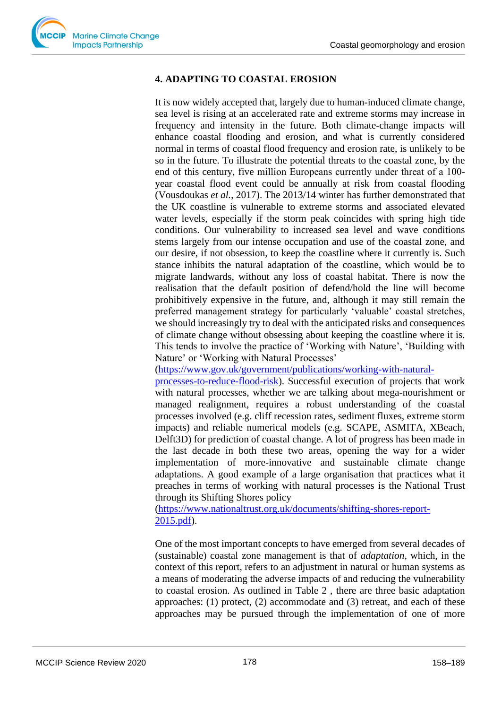# **4. ADAPTING TO COASTAL EROSION**

It is now widely accepted that, largely due to human-induced climate change, sea level is rising at an accelerated rate and extreme storms may increase in frequency and intensity in the future. Both climate-change impacts will enhance coastal flooding and erosion, and what is currently considered normal in terms of coastal flood frequency and erosion rate, is unlikely to be so in the future. To illustrate the potential threats to the coastal zone, by the end of this century, five million Europeans currently under threat of a 100‐ year coastal flood event could be annually at risk from coastal flooding (Vousdoukas *et al.*, 2017). The 2013/14 winter has further demonstrated that the UK coastline is vulnerable to extreme storms and associated elevated water levels, especially if the storm peak coincides with spring high tide conditions. Our vulnerability to increased sea level and wave conditions stems largely from our intense occupation and use of the coastal zone, and our desire, if not obsession, to keep the coastline where it currently is. Such stance inhibits the natural adaptation of the coastline, which would be to migrate landwards, without any loss of coastal habitat. There is now the realisation that the default position of defend/hold the line will become prohibitively expensive in the future, and, although it may still remain the preferred management strategy for particularly 'valuable' coastal stretches, we should increasingly try to deal with the anticipated risks and consequences of climate change without obsessing about keeping the coastline where it is. This tends to involve the practice of 'Working with Nature', 'Building with Nature' or 'Working with Natural Processes'

[\(https://www.gov.uk/government/publications/working-with-natural-](https://www.gov.uk/government/publications/working-with-natural-processes-to-reduce-flood-risk)

[processes-to-reduce-flood-risk\)](https://www.gov.uk/government/publications/working-with-natural-processes-to-reduce-flood-risk). Successful execution of projects that work with natural processes, whether we are talking about mega-nourishment or managed realignment, requires a robust understanding of the coastal processes involved (e.g. cliff recession rates, sediment fluxes, extreme storm impacts) and reliable numerical models (e.g. SCAPE, ASMITA, XBeach, Delft3D) for prediction of coastal change. A lot of progress has been made in the last decade in both these two areas, opening the way for a wider implementation of more-innovative and sustainable climate change adaptations. A good example of a large organisation that practices what it preaches in terms of working with natural processes is the National Trust through its Shifting Shores policy

[\(https://www.nationaltrust.org.uk/documents/shifting-shores-report-](https://www.nationaltrust.org.uk/documents/shifting-shores-report-2015.pdf)[2015.pdf\)](https://www.nationaltrust.org.uk/documents/shifting-shores-report-2015.pdf).

One of the most important concepts to have emerged from several decades of (sustainable) coastal zone management is that of *adaptation*, which, in the context of this report, refers to an adjustment in natural or human systems as a means of moderating the adverse impacts of and reducing the vulnerability to coastal erosion. As outlined in Table 2 , there are three basic adaptation approaches: (1) protect, (2) accommodate and (3) retreat, and each of these approaches may be pursued through the implementation of one of more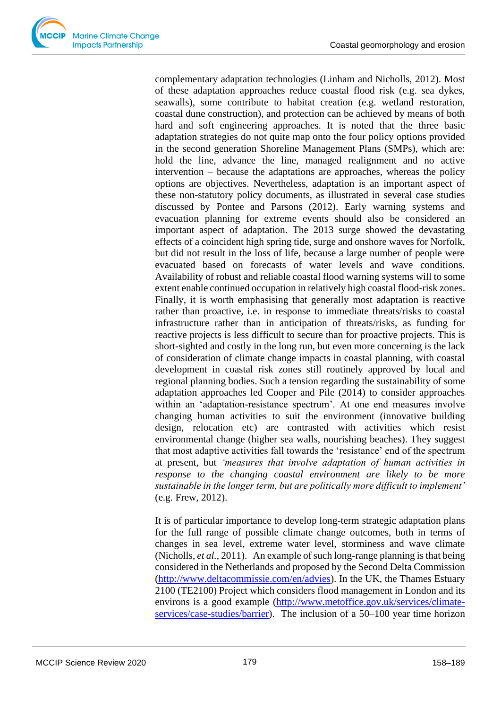

complementary adaptation technologies (Linham and Nicholls, 2012). Most of these adaptation approaches reduce coastal flood risk (e.g. sea dykes, seawalls), some contribute to habitat creation (e.g. wetland restoration, coastal dune construction), and protection can be achieved by means of both hard and soft engineering approaches. It is noted that the three basic adaptation strategies do not quite map onto the four policy options provided in the second generation Shoreline Management Plans (SMPs), which are: hold the line, advance the line, managed realignment and no active intervention – because the adaptations are approaches, whereas the policy options are objectives. Nevertheless, adaptation is an important aspect of these non-statutory policy documents, as illustrated in several case studies discussed by Pontee and Parsons (2012). Early warning systems and evacuation planning for extreme events should also be considered an important aspect of adaptation. The 2013 surge showed the devastating effects of a coincident high spring tide, surge and onshore waves for Norfolk, but did not result in the loss of life, because a large number of people were evacuated based on forecasts of water levels and wave conditions. Availability of robust and reliable coastal flood warning systems will to some extent enable continued occupation in relatively high coastal flood-risk zones. Finally, it is worth emphasising that generally most adaptation is reactive rather than proactive, i.e. in response to immediate threats/risks to coastal infrastructure rather than in anticipation of threats/risks, as funding for reactive projects is less difficult to secure than for proactive projects. This is short-sighted and costly in the long run, but even more concerning is the lack of consideration of climate change impacts in coastal planning, with coastal development in coastal risk zones still routinely approved by local and regional planning bodies. Such a tension regarding the sustainability of some adaptation approaches led Cooper and Pile (2014) to consider approaches within an 'adaptation-resistance spectrum'. At one end measures involve changing human activities to suit the environment (innovative building design, relocation etc) are contrasted with activities which resist environmental change (higher sea walls, nourishing beaches). They suggest that most adaptive activities fall towards the 'resistance' end of the spectrum at present, but *'measures that involve adaptation of human activities in response to the changing coastal environment are likely to be more sustainable in the longer term, but are politically more difficult to implement'*  (e.g. Frew, 2012).

It is of particular importance to develop long-term strategic adaptation plans for the full range of possible climate change outcomes, both in terms of changes in sea level, extreme water level, storminess and wave climate (Nicholls, *et al.*, 2011). An example of such long-range planning is that being considered in the Netherlands and proposed by the Second Delta Commission [\(http://www.deltacommissie.com/en/advies\)](http://www.deltacommissie.com/en/advies). In the UK, the Thames Estuary 2100 (TE2100) Project which considers flood management in London and its environs is a good example [\(http://www.metoffice.gov.uk/services/climate](http://www.metoffice.gov.uk/services/climate-services/case-studies/barrier)[services/case-studies/barrier\)](http://www.metoffice.gov.uk/services/climate-services/case-studies/barrier). The inclusion of a 50–100 year time horizon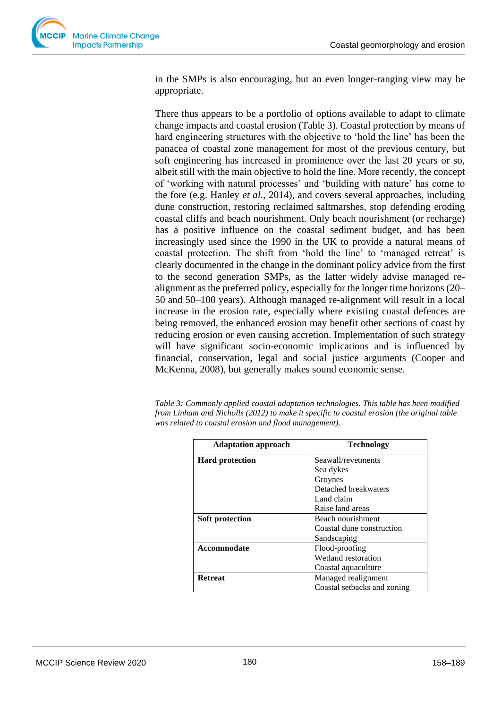in the SMPs is also encouraging, but an even longer-ranging view may be appropriate.

There thus appears to be a portfolio of options available to adapt to climate change impacts and coastal erosion (Table 3). Coastal protection by means of hard engineering structures with the objective to 'hold the line' has been the panacea of coastal zone management for most of the previous century, but soft engineering has increased in prominence over the last 20 years or so, albeit still with the main objective to hold the line. More recently, the concept of 'working with natural processes' and 'building with nature' has come to the fore (e.g. Hanley *et al.*, 2014), and covers several approaches, including dune construction, restoring reclaimed saltmarshes, stop defending eroding coastal cliffs and beach nourishment. Only beach nourishment (or recharge) has a positive influence on the coastal sediment budget, and has been increasingly used since the 1990 in the UK to provide a natural means of coastal protection. The shift from 'hold the line' to 'managed retreat' is clearly documented in the change in the dominant policy advice from the first to the second generation SMPs, as the latter widely advise managed realignment as the preferred policy, especially for the longer time horizons (20– 50 and 50–100 years). Although managed re-alignment will result in a local increase in the erosion rate, especially where existing coastal defences are being removed, the enhanced erosion may benefit other sections of coast by reducing erosion or even causing accretion. Implementation of such strategy will have significant socio-economic implications and is influenced by financial, conservation, legal and social justice arguments (Cooper and McKenna, 2008), but generally makes sound economic sense.

*Table 3: Commonly applied coastal adaptation technologies. This table has been modified from Linham and Nicholls (2012) to make it specific to coastal erosion (the original table was related to coastal erosion and flood management).* 

| <b>Adaptation approach</b> | <b>Technology</b>           |  |
|----------------------------|-----------------------------|--|
| <b>Hard protection</b>     | Seawall/revetments          |  |
|                            | Sea dykes                   |  |
|                            | Groynes                     |  |
|                            | Detached breakwaters        |  |
|                            | Land claim                  |  |
|                            | Raise land areas            |  |
| Soft protection            | Beach nourishment           |  |
|                            | Coastal dune construction   |  |
|                            | Sandscaping                 |  |
| <b>Accommodate</b>         | Flood-proofing              |  |
|                            | Wetland restoration         |  |
|                            | Coastal aquaculture         |  |
| <b>Retreat</b>             | Managed realignment         |  |
|                            | Coastal setbacks and zoning |  |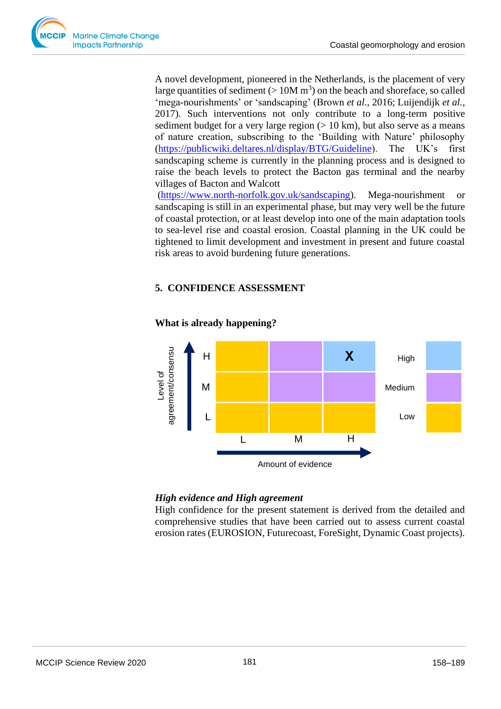A novel development, pioneered in the Netherlands, is the placement of very large quantities of sediment ( $> 10M$  m<sup>3</sup>) on the beach and shoreface, so called 'mega-nourishments' or 'sandscaping' (Brown *et al.*, 2016; Luijendijk *et al.*, 2017). Such interventions not only contribute to a long-term positive sediment budget for a very large region  $(> 10 \text{ km})$ , but also serve as a means of nature creation, subscribing to the 'Building with Nature' philosophy [\(https://publicwiki.deltares.nl/display/BTG/Guideline\)](https://publicwiki.deltares.nl/display/BTG/Guideline). The UK's first sandscaping scheme is currently in the planning process and is designed to raise the beach levels to protect the Bacton gas terminal and the nearby villages of Bacton and Walcott

[\(https://www.north-norfolk.gov.uk/sandscaping\)](https://www.north-norfolk.gov.uk/sandscaping). Mega-nourishment or sandscaping is still in an experimental phase, but may very well be the future of coastal protection, or at least develop into one of the main adaptation tools to sea-level rise and coastal erosion. Coastal planning in the UK could be tightened to limit development and investment in present and future coastal risk areas to avoid burdening future generations.

# **5. CONFIDENCE ASSESSMENT**



#### **What is already happening?**

# *High evidence and High agreement*

High confidence for the present statement is derived from the detailed and comprehensive studies that have been carried out to assess current coastal erosion rates (EUROSION, Futurecoast, ForeSight, Dynamic Coast projects).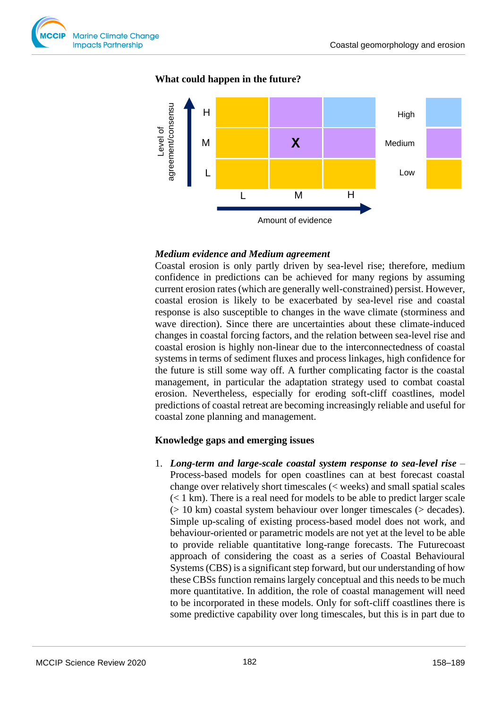

#### **What could happen in the future?**



#### *Medium evidence and Medium agreement*

Coastal erosion is only partly driven by sea-level rise; therefore, medium confidence in predictions can be achieved for many regions by assuming current erosion rates (which are generally well-constrained) persist. However, coastal erosion is likely to be exacerbated by sea-level rise and coastal response is also susceptible to changes in the wave climate (storminess and wave direction). Since there are uncertainties about these climate-induced changes in coastal forcing factors, and the relation between sea-level rise and coastal erosion is highly non-linear due to the interconnectedness of coastal systems in terms of sediment fluxes and process linkages, high confidence for the future is still some way off. A further complicating factor is the coastal management, in particular the adaptation strategy used to combat coastal erosion. Nevertheless, especially for eroding soft-cliff coastlines, model predictions of coastal retreat are becoming increasingly reliable and useful for coastal zone planning and management.

# **Knowledge gaps and emerging issues**

1. *Long-term and large-scale coastal system response to sea-level rise* – Process-based models for open coastlines can at best forecast coastal change over relatively short timescales (< weeks) and small spatial scales (< 1 km). There is a real need for models to be able to predict larger scale (> 10 km) coastal system behaviour over longer timescales (> decades). Simple up-scaling of existing process-based model does not work, and behaviour-oriented or parametric models are not yet at the level to be able to provide reliable quantitative long-range forecasts. The Futurecoast approach of considering the coast as a series of Coastal Behavioural Systems (CBS) is a significant step forward, but our understanding of how these CBSs function remains largely conceptual and this needs to be much more quantitative. In addition, the role of coastal management will need to be incorporated in these models. Only for soft-cliff coastlines there is some predictive capability over long timescales, but this is in part due to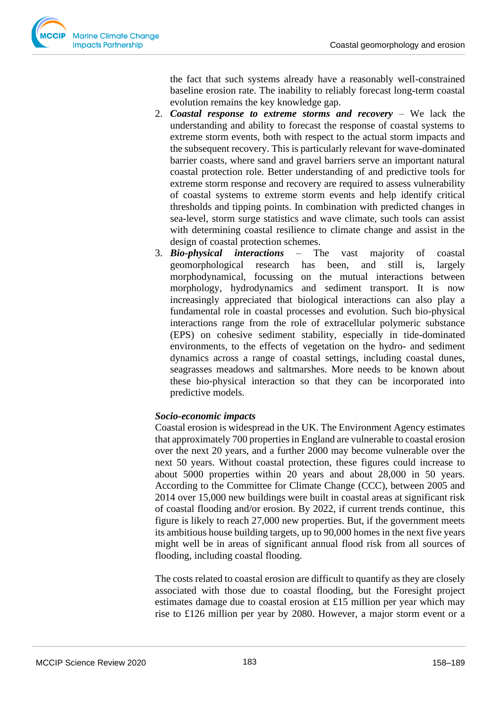the fact that such systems already have a reasonably well-constrained baseline erosion rate. The inability to reliably forecast long-term coastal evolution remains the key knowledge gap.

- 2. *Coastal response to extreme storms and recovery* We lack the understanding and ability to forecast the response of coastal systems to extreme storm events, both with respect to the actual storm impacts and the subsequent recovery. This is particularly relevant for wave-dominated barrier coasts, where sand and gravel barriers serve an important natural coastal protection role. Better understanding of and predictive tools for extreme storm response and recovery are required to assess vulnerability of coastal systems to extreme storm events and help identify critical thresholds and tipping points. In combination with predicted changes in sea-level, storm surge statistics and wave climate, such tools can assist with determining coastal resilience to climate change and assist in the design of coastal protection schemes.
- 3. *Bio-physical interactions* The vast majority of coastal geomorphological research has been, and still is, largely morphodynamical, focussing on the mutual interactions between morphology, hydrodynamics and sediment transport. It is now increasingly appreciated that biological interactions can also play a fundamental role in coastal processes and evolution. Such bio-physical interactions range from the role of extracellular polymeric substance (EPS) on cohesive sediment stability, especially in tide-dominated environments, to the effects of vegetation on the hydro- and sediment dynamics across a range of coastal settings, including coastal dunes, seagrasses meadows and saltmarshes. More needs to be known about these bio-physical interaction so that they can be incorporated into predictive models.

# *Socio-economic impacts*

Coastal erosion is widespread in the UK. The Environment Agency estimates that approximately 700 properties in England are vulnerable to coastal erosion over the next 20 years, and a further 2000 may become vulnerable over the next 50 years. Without coastal protection, these figures could increase to about 5000 properties within 20 years and about 28,000 in 50 years. According to the Committee for Climate Change (CCC), between 2005 and 2014 over 15,000 new buildings were built in coastal areas at significant risk of coastal flooding and/or erosion. By 2022, if current trends continue, this figure is likely to reach 27,000 new properties. But, if the government meets its ambitious house building targets, up to 90,000 homes in the next five years might well be in areas of significant annual flood risk from all sources of flooding, including coastal flooding.

The costs related to coastal erosion are difficult to quantify as they are closely associated with those due to coastal flooding, but the Foresight project estimates damage due to coastal erosion at £15 million per year which may rise to £126 million per year by 2080. However, a major storm event or a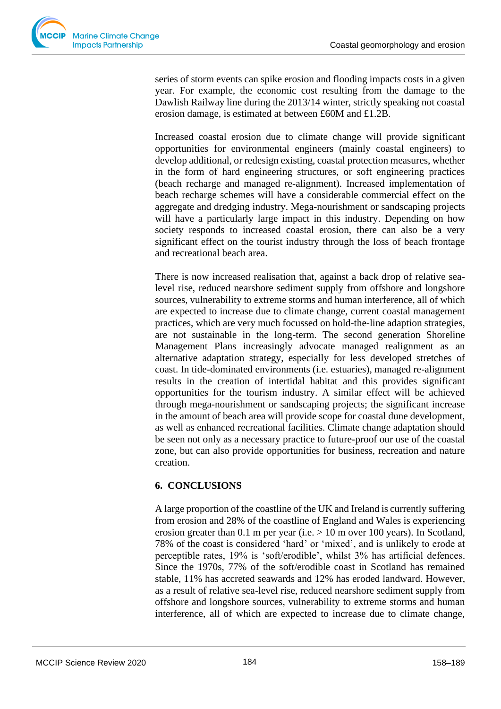series of storm events can spike erosion and flooding impacts costs in a given year. For example, the economic cost resulting from the damage to the Dawlish Railway line during the 2013/14 winter, strictly speaking not coastal erosion damage, is estimated at between £60M and £1.2B.

Increased coastal erosion due to climate change will provide significant opportunities for environmental engineers (mainly coastal engineers) to develop additional, or redesign existing, coastal protection measures, whether in the form of hard engineering structures, or soft engineering practices (beach recharge and managed re-alignment). Increased implementation of beach recharge schemes will have a considerable commercial effect on the aggregate and dredging industry. Mega-nourishment or sandscaping projects will have a particularly large impact in this industry. Depending on how society responds to increased coastal erosion, there can also be a very significant effect on the tourist industry through the loss of beach frontage and recreational beach area.

There is now increased realisation that, against a back drop of relative sealevel rise, reduced nearshore sediment supply from offshore and longshore sources, vulnerability to extreme storms and human interference, all of which are expected to increase due to climate change, current coastal management practices, which are very much focussed on hold-the-line adaption strategies, are not sustainable in the long-term. The second generation Shoreline Management Plans increasingly advocate managed realignment as an alternative adaptation strategy, especially for less developed stretches of coast. In tide-dominated environments (i.e. estuaries), managed re-alignment results in the creation of intertidal habitat and this provides significant opportunities for the tourism industry. A similar effect will be achieved through mega-nourishment or sandscaping projects; the significant increase in the amount of beach area will provide scope for coastal dune development, as well as enhanced recreational facilities. Climate change adaptation should be seen not only as a necessary practice to future-proof our use of the coastal zone, but can also provide opportunities for business, recreation and nature creation.

# **6. CONCLUSIONS**

A large proportion of the coastline of the UK and Ireland is currently suffering from erosion and 28% of the coastline of England and Wales is experiencing erosion greater than 0.1 m per year (i.e.  $> 10$  m over 100 years). In Scotland, 78% of the coast is considered 'hard' or 'mixed', and is unlikely to erode at perceptible rates, 19% is 'soft/erodible', whilst 3% has artificial defences. Since the 1970s, 77% of the soft/erodible coast in Scotland has remained stable, 11% has accreted seawards and 12% has eroded landward. However, as a result of relative sea-level rise, reduced nearshore sediment supply from offshore and longshore sources, vulnerability to extreme storms and human interference, all of which are expected to increase due to climate change,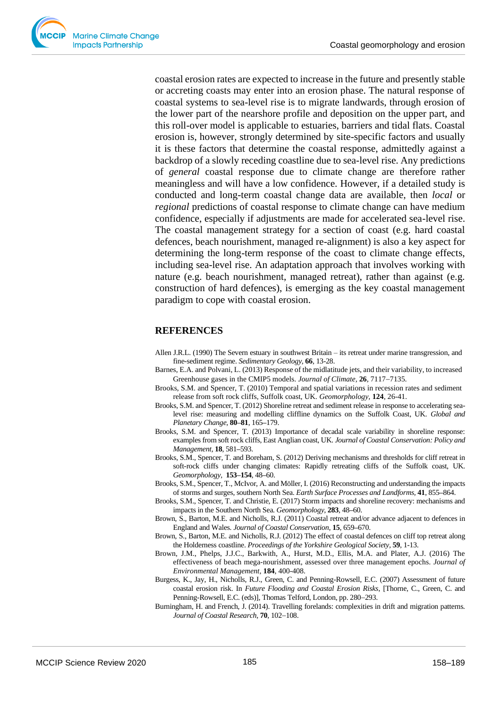coastal erosion rates are expected to increase in the future and presently stable or accreting coasts may enter into an erosion phase. The natural response of coastal systems to sea-level rise is to migrate landwards, through erosion of the lower part of the nearshore profile and deposition on the upper part, and this roll-over model is applicable to estuaries, barriers and tidal flats. Coastal erosion is, however, strongly determined by site-specific factors and usually it is these factors that determine the coastal response, admittedly against a backdrop of a slowly receding coastline due to sea-level rise. Any predictions of *general* coastal response due to climate change are therefore rather meaningless and will have a low confidence. However, if a detailed study is conducted and long-term coastal change data are available, then *local* or *regional* predictions of coastal response to climate change can have medium confidence, especially if adjustments are made for accelerated sea-level rise. The coastal management strategy for a section of coast (e.g. hard coastal defences, beach nourishment, managed re-alignment) is also a key aspect for determining the long-term response of the coast to climate change effects, including sea-level rise. An adaptation approach that involves working with nature (e.g. beach nourishment, managed retreat), rather than against (e.g. construction of hard defences), is emerging as the key coastal management paradigm to cope with coastal erosion.

#### **REFERENCES**

- Allen J.R.L. (1990) The Severn estuary in southwest Britain its retreat under marine transgression, and fine-sediment regime. *Sedimentary Geology,* **66**, 13-28.
- Barnes, E.A. and Polvani, L. (2013) Response of the midlatitude jets, and their variability, to increased Greenhouse gases in the CMIP5 models. *Journal of Climate,* **26**, 7117−7135.
- Brooks, S.M. and Spencer, T. (2010) Temporal and spatial variations in recession rates and sediment release from soft rock cliffs, Suffolk coast, UK. *Geomorphology,* **124**, 26-41.
- Brooks, S.M. and Spencer, T. (2012) Shoreline retreat and sediment release in response to accelerating sealevel rise: measuring and modelling cliffline dynamics on the Suffolk Coast, UK. *Global and Planetary Change,* **80–81**, 165**–**179.
- Brooks, S.M. and Spencer, T. (2013) Importance of decadal scale variability in shoreline response: examples from soft rock cliffs, East Anglian coast, UK. *Journal of Coastal Conservation: Policy and Management,* **18**, 581**–**593.
- Brooks, S.M., Spencer, T. and Boreham, S. (2012) Deriving mechanisms and thresholds for cliff retreat in soft-rock cliffs under changing climates: Rapidly retreating cliffs of the Suffolk coast, UK. *Geomorphology,* **153–154**, 48**–**60.
- Brooks, S.M., Spencer, T., McIvor, A. and Möller, I. (2016) Reconstructing and understanding the impacts of storms and surges, southern North Sea. *Earth Surface Processes and Landforms,* **41**, 855**–**864.
- Brooks, S.M., Spencer, T. and Christie, E. (2017) Storm impacts and shoreline recovery: mechanisms and impacts in the Southern North Sea. *Geomorphology,* **283**, 48**–**60.
- Brown, S., Barton, M.E. and Nicholls, R.J. (2011[\) Coastal retreat and/or advance adjacent to defences in](http://eprints.soton.ac.uk/204651/)  [England and Wales.](http://eprints.soton.ac.uk/204651/) *Journal of Coastal Conservation,* **15**, 659**–**670.
- Brown, S., Barton, M.E. and Nicholls, R.J. (2012[\) The effect of coastal defences on cliff top retreat along](http://eprints.soton.ac.uk/339894/)  [the Holderness coastline.](http://eprints.soton.ac.uk/339894/) *Proceedings of the Yorkshire Geological Society,* **59**, 1-13.
- Brown, J.M., Phelps, J.J.C., Barkwith, A., Hurst, M.D., Ellis, M.A. and Plater, A.J. (2016) The effectiveness of beach mega-nourishment, assessed over three management epochs. *Journal of Environmental Management,* **184**, 400-408.
- Burgess, K., Jay, H., Nicholls, R.J., Green, C. and Penning-Rowsell, E.C. (2007) Assessment of future coastal erosion risk. In *Future Flooding and Coastal Erosion Risks*, [Thorne, C., Green, C. and Penning-Rowsell, E.C. (eds)], Thomas Telford, London, pp. 280−293.
- Burningham, H. and French, J. (2014). Travelling forelands: complexities in drift and migration patterns. *Journal of Coastal Research,* **70**, 102−108.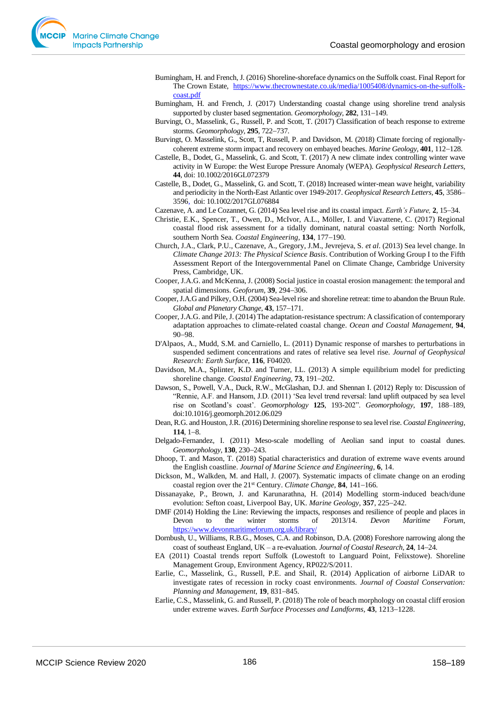- Burningham, H. and French, J. (2016) Shoreline-shoreface dynamics on the Suffolk coast. Final Report for The Crown Estate, [https://www.thecrownestate.co.uk/media/1005408/dynamics-on-the-suffolk](https://www.thecrownestate.co.uk/media/1005408/dynamics-on-the-suffolk-coast.pdf)[coast.pdf](https://www.thecrownestate.co.uk/media/1005408/dynamics-on-the-suffolk-coast.pdf)
- Burningham, H. and French, J. (2017) Understanding coastal change using shoreline trend analysis supported by cluster based segmentation. *Geomorphology,* **282**, 131−149.
- Burvingt, O., Masselink, G., Russell, P. and Scott, T. (2017) Classification of beach response to extreme storms. *Geomorphology,* **295**, 722−737.
- Burvingt, O. Masselink, G., Scott, T, Russell, P. and Davidson, M. (2018) Climate forcing of regionallycoherent extreme storm impact and recovery on embayed beaches. *Marine Geology,* **401**, 112−128.
- Castelle, B., Dodet, G., Masselink, G. and Scott, T. (2017) A new climate index controlling winter wave activity in W Europe: the West Europe Pressure Anomaly (WEPA). *Geophysical Research Letters,* **44**, doi: 10.1002/2016GL072379
- Castelle, B., Dodet, G., Masselink, G. and Scott, T. (2018) Increased winter-mean wave height, variability and periodicity in the North-East Atlantic over 1949-2017. *Geophysical Research Letters,* **45**, 3586– 3596, doi: 10.1002/2017GL076884
- Cazenave, A. and Le Cozannet, G. (2014) Sea level rise and its coastal impact. *Earth's Future,* **2**, 15−34.
- Christie, E.K., Spencer, T., Owen, D., McIvor, A.L., Möller, I. and Viavattene, C. (2017) Regional coastal flood risk assessment for a tidally dominant, natural coastal setting: North Norfolk, southern North Sea. *Coastal Engineering,* **134**, 177−190.
- Church, J.A., Clark, P.U., Cazenave, A., Gregory, J.M., Jevrejeva, S. *et al*. (2013) Sea level change. In *Climate Change 2013: The Physical Science Basis*. Contribution of Working Group I to the Fifth Assessment Report of the Intergovernmental Panel on Climate Change, Cambridge University Press, Cambridge, UK.
- Cooper, J.A.G. and McKenna, J. (2008) Social justice in coastal erosion management: the temporal and spatial dimensions. *Geoforum,* **39**, 294−306.
- Cooper, J.A.G and Pilkey, O.H. (2004) Sea-level rise and shoreline retreat: time to abandon the Bruun Rule. *Global and Planetary Change,* **43**, 157−171.
- Cooper, J.A.G. and Pile, J. (2014) The adaptation-resistance spectrum: A classification of contemporary adaptation approaches to climate-related coastal change. *Ocean and Coastal Management,* **94**, 90−98.
- D'Alpaos, A., Mudd, S.M. and Carniello, L. (2011) Dynamic response of marshes to perturbations in suspended sediment concentrations and rates of relative sea level rise. *Journal of Geophysical Research: Earth Surface,* **116**, F04020.
- Davidson, M.A., Splinter, K.D. and Turner, I.L. (2013) A simple equilibrium model for predicting shoreline change. *Coastal Engineering,* **73**, 191−202.
- Dawson, S., Powell, V.A., Duck, R.W., McGlashan, D.J. and Shennan I. (2012) Reply to: Discussion of "Rennie, A.F. and Hansom, J.D. (2011) 'Sea level trend reversal: land uplift outpaced by sea level rise on Scotland's coast'. *Geomorphology* **125**, 193-202". *Geomorphology*, **197**, 188–189, doi:10.1016/j.geomorph.2012.06.029
- Dean, R.G. and Houston, J.R. (2016) Determining shoreline response to sea level rise. *Coastal Engineering,* **114**, 1−8.
- Delgado-Fernandez, I. (2011) Meso-scale modelling of Aeolian sand input to coastal dunes. *Geomorphology,* **130**, 230−243.
- Dhoop, T. and Mason, T. (2018) Spatial characteristics and duration of extreme wave events around the English coastline. *Journal of Marine Science and Engineering,* **6**, 14.
- Dickson, M., Walkden, M. and Hall, J. (2007). Systematic impacts of climate change on an eroding coastal region over the 21st Century. *Climate Change,* **84**, 141−166.
- Dissanayake, P., Brown, J. and Karunarathna, H. (2014) Modelling storm-induced beach/dune evolution: Sefton coast, Liverpool Bay, UK. *Marine Geology,* **357**, 225−242.
- DMF (2014) Holding the Line: Reviewing the impacts, responses and resilience of people and places in Devon to the winter storms of 2013/14. *Devon Maritime Forum*, <https://www.devonmaritimeforum.org.uk/library/>
- Dornbush, U., Williams, R.B.G., Moses, C.A. and Robinson, D.A. (2008) Foreshore narrowing along the coast of southeast England, UK – a re-evaluation. *Journal of Coastal Research,* **24**, 14−24.
- EA (2011) Coastal trends report Suffolk (Lowestoft to Languard Point, Felixstowe). Shoreline Management Group, Environment Agency, RP022/S/2011.
- Earlie, C., Masselink, G., Russell, P.E. and Shail, R. (2014) Application of airborne LiDAR to investigate rates of recession in rocky coast environments. *Journal of Coastal Conservation: Planning and Management*, **19**, 831−845.
- Earlie, C.S., Masselink, G. and Russell, P. (2018) The role of beach morphology on coastal cliff erosion under extreme waves. *Earth Surface Processes and Landforms,* **43**, 1213−1228.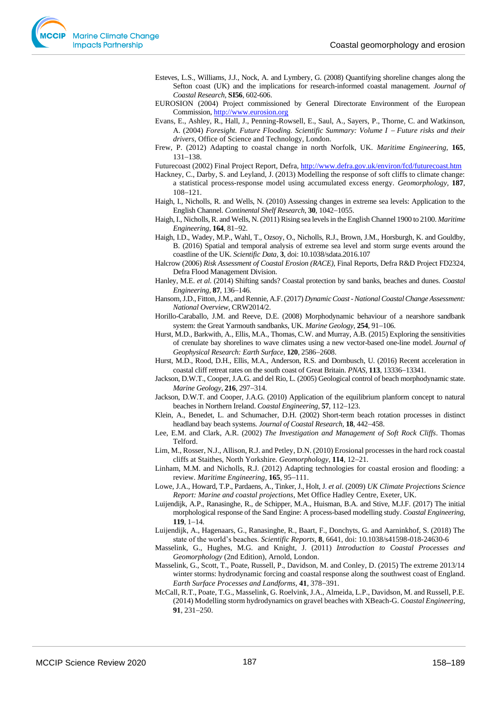- Esteves, L.S., Williams, J.J., Nock, A. and Lymbery, G. (2008) Quantifying shoreline changes along the Sefton coast (UK) and the implications for research-informed coastal management. *Journal of Coastal Research,* **SI56**, 602-606.
- EUROSION (2004) Project commissioned by General Directorate Environment of the European Commission, [http://www.eurosion.org](http://www.eurosion.org/)
- Evans, E., Ashley, R., Hall, J., Penning-Rowsell, E., Saul, A., Sayers, P., Thorne, C. and Watkinson, A. (2004) *Foresight. Future Flooding. Scientific Summary: Volume I − Future risks and their drivers*, Office of Science and Technology, London.
- Frew, P. (2012) Adapting to coastal change in north Norfolk, UK. *Maritime Engineering,* **165**, 131−138.

Futurecoast (2002) Final Project Report, Defra[, http://www.defra.gov.uk/environ/fcd/futurecoast.htm](http://www.defra.gov.uk/environ/fcd/futurecoast.htm)

- Hackney, C., Darby, S. and Leyland, J. (2013) Modelling the response of soft cliffs to climate change: a statistical process-response model using accumulated excess energy. *Geomorphology,* **187**, 108−121.
- Haigh, I., Nicholls, R. and Wells, N. (2010) Assessing changes in extreme sea levels: Application to the English Channel. *Continental Shelf Research,* **30**, 1042−1055.
- Haigh, I., Nicholls, R. and Wells, N. (2011) Rising sea levels in the English Channel 1900 to 2100. *Maritime Engineering,* **164**, 81−92.
- Haigh, I.D., Wadey, M.P., Wahl, T., Ozsoy, O., Nicholls, R.J., Brown, J.M., Horsburgh, K. and Gouldby, B. (2016) Spatial and temporal analysis of extreme sea level and storm surge events around the coastline of the UK. *Scientific Data,* **3**, doi: 10.1038/sdata.2016.107
- Halcrow (2006) *Risk Assessment of Coastal Erosion (RACE)*, Final Reports, Defra R&D Project FD2324, Defra Flood Management Division.
- Hanley, M.E. *et al*. (2014) Shifting sands? Coastal protection by sand banks, beaches and dunes. *Coastal Engineering,* **87**, 136−146.
- Hansom, J.D., Fitton, J.M., and Rennie, A.F. (2017) *Dynamic Coast -National Coastal Change Assessment: National Overview*, CRW2014/2.
- Horillo-Caraballo, J.M. and Reeve, D.E. (2008) Morphodynamic behaviour of a nearshore sandbank system: the Great Yarmouth sandbanks, UK. *Marine Geology,* **254**, 91−106.
- [Hurst, M.D.,](http://eprints.gla.ac.uk/view/author/36737.html) Barkwith, A., Ellis, M.A., Thomas, C.W. and Murray, A.B. (2015[\) Exploring the sensitivities](http://eprints.gla.ac.uk/119793/)  [of crenulate bay shorelines to wave climates using a new vector-based one-line model.](http://eprints.gla.ac.uk/119793/) *[Journal of](http://eprints.gla.ac.uk/view/journal_volume/Journal_of_Geophysical_Research=3A_Earth_Surface.html)  [Geophysical Research: Earth Surface,](http://eprints.gla.ac.uk/view/journal_volume/Journal_of_Geophysical_Research=3A_Earth_Surface.html)* **120**, 2586−2608.
- Hurst, M.D., Rood, D.H., Ellis, M.A., Anderson, R.S. and Dornbusch, U. (2016) Recent acceleration in coastal cliff retreat rates on the south coast of Great Britain. *PNAS,* **113**, 13336−13341.
- Jackson, D.W.T., Cooper, J.A.G. and del Rio, L. (2005) Geological control of beach morphodynamic state. *Marine Geology*, **216**, 297−314.
- Jackson, D.W.T. and Cooper, J.A.G. (2010) Application of the equilibrium planform concept to natural beaches in Northern Ireland. *Coastal Engineering,* **57**, 112−123.
- Klein, A., Benedet, L. and Schumacher, D.H. (2002) Short-term beach rotation processes in distinct headland bay beach systems. *Journal of Coastal Research,* **18**, 442−458.
- Lee, E.M. and Clark, A.R. (2002) *The Investigation and Management of Soft Rock Cliffs*. Thomas Telford.
- Lim, M., Rosser, N.J., Allison, R.J. and Petley, D.N. (2010) Erosional processes in the hard rock coastal cliffs at Staithes, North Yorkshire. *Geomorphology,* **114**, 12−21.
- Linham, M.M. and Nicholls, R.J. (2012) Adapting technologies for coastal erosion and flooding: a review. *Maritime Engineering,* **165**, 95−111.
- Lowe, J.A., Howard, T.P., Pardaens, A., Tinker, J., Holt, J. *et al*. (2009) *UK Climate Projections Science Report: Marine and coastal projections*, Met Office Hadley Centre, Exeter, UK.
- Luijendijk, A.P., Ranasinghe, R., de Schipper, M.A., Huisman, B.A. and Stive, M.J.F. (2017[\) The initial](https://www.sciencedirect.com/science/article/pii/S0378383916302563)  [morphological response of the Sand Engine: A process-based modelling study.](https://www.sciencedirect.com/science/article/pii/S0378383916302563) *Coastal Engineering,* **119**, 1−14.
- Luijendijk, A., Hagenaars, G., Ranasinghe, R., Baart, F., Donchyts, G. and Aarninkhof, S. (2018) The state of the world's beaches. *Scientific Reports,* **8**, 6641, doi: 10.1038/s41598-018-24630-6
- Masselink, G., Hughes, M.G. and Knight, J. (2011) *Introduction to Coastal Processes and Geomorphology* (2nd Edition), Arnold, London.
- Masselink, G., Scott, T., Poate, Russell, P., Davidson, M. and Conley, D. (2015) The extreme 2013/14 winter storms: hydrodynamic forcing and coastal response along the southwest coast of England. *Earth Surface Processes and Landforms,* **41**, 378−391.
- McCall, R.T., Poate, T.G., Masselink, G. Roelvink, J.A., Almeida, L.P., Davidson, M. and Russell, P.E. (2014) Modelling storm hydrodynamics on gravel beaches with XBeach-G. *Coastal Engineering*, **91**, 231−250.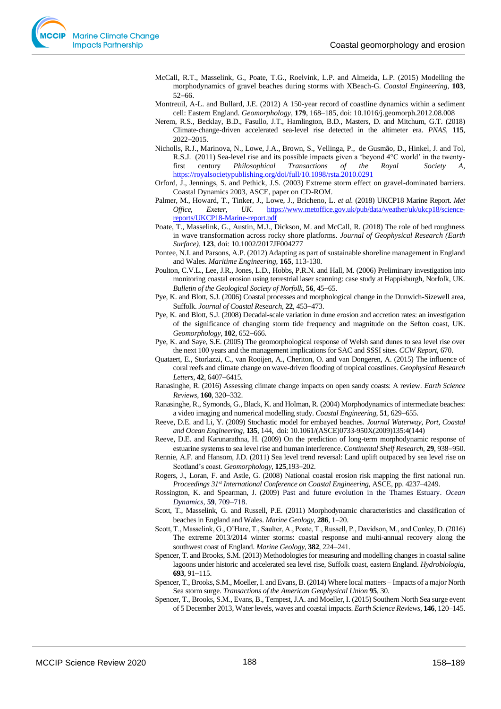- McCall, R.T., Masselink, G., Poate, T.G., Roelvink, L.P. and Almeida, L.P. (2015) Modelling the morphodynamics of gravel beaches during storms with XBeach-G. *Coastal Engineering,* **103**, 52−66.
- Montreuil, A-L. and Bullard, J.E. (2012) A 150-year record of coastline dynamics within a sediment cell: Eastern England. *Geomorphology*, **179**, 168–185, doi: 10.1016/j.geomorph.2012.08.008
- Nerem, R.S., Becklay, B.D., Fasullo, J.T., Hamlington, B.D., Masters, D. and Mitchum, G.T. (2018) Climate-change-driven accelerated sea-level rise detected in the altimeter era. *PNAS,* **115**, 2022−2015.
- [Nicholls,](https://royalsocietypublishing.org/doi/full/10.1098/rsta.2010.0291) R.J., [Marinova,](https://royalsocietypublishing.org/doi/full/10.1098/rsta.2010.0291) N., [Lowe,](https://royalsocietypublishing.org/doi/full/10.1098/rsta.2010.0291) J.A., [Brown,](https://royalsocietypublishing.org/doi/full/10.1098/rsta.2010.0291) S., [Vellinga,](https://royalsocietypublishing.org/doi/full/10.1098/rsta.2010.0291) P., [de Gusmão,](https://royalsocietypublishing.org/doi/full/10.1098/rsta.2010.0291) D., [Hinkel,](https://royalsocietypublishing.org/doi/full/10.1098/rsta.2010.0291) J. and [Tol,](https://royalsocietypublishing.org/doi/full/10.1098/rsta.2010.0291)  R.S.J. (2011) Sea-level rise and its possible impacts given a 'beyond 4°C world' in the twentyfirst century *Philosophical Transactions of the Royal Society A,* <https://royalsocietypublishing.org/doi/full/10.1098/rsta.2010.0291>
- Orford, J., Jennings, S. and Pethick, J.S. (2003) Extreme storm effect on gravel-dominated barriers. Coastal Dynamics 2003, ASCE, paper on CD-ROM.
- Palmer, M., Howard, T., Tinker, J., Lowe, J., Bricheno, L. *et al*. (2018) UKCP18 Marine Report. *Met Office, Exeter, UK.* [https://www.metoffice.gov.uk/pub/data/weather/uk/ukcp18/science](https://www.metoffice.gov.uk/pub/data/weather/uk/ukcp18/science-reports/UKCP18-Marine-report.pdf)[reports/UKCP18-Marine-report.pdf](https://www.metoffice.gov.uk/pub/data/weather/uk/ukcp18/science-reports/UKCP18-Marine-report.pdf)
- Poate, T., Masselink, G., Austin, M.J., Dickson, M. and McCall, R. (2018) The role of bed roughness in wave transformation across rocky shore platforms. *Journal of Geophysical Research (Earth Surface),* **123**, doi: 10.1002/2017JF004277
- Pontee, N.I. and Parsons, A.P. (2012) Adapting as part of sustainable shoreline management in England and Wales. *Maritime Engineering,* **165**, 113-130.
- Poulton, C.V.L., Lee, J.R., Jones, L.D., Hobbs, P.R.N. and Hall, M. (2006) Preliminary investigation into monitoring coastal erosion using terrestrial laser scanning: case study at Happisburgh, Norfolk, UK. *Bulletin of the Geological Society of Norfolk,* **56**, 45−65.
- Pye, K. and Blott, S.J. (2006) Coastal processes and morphological change in the Dunwich-Sizewell area, Suffolk. *Journal of Coastal Research,* **22**, 453−473.
- Pye, K. and Blott, S.J. (2008) Decadal-scale variation in dune erosion and accretion rates: an investigation of the significance of changing storm tide frequency and magnitude on the Sefton coast, UK. *Geomorphology,* **102**, 652−666.
- Pye, K. and Saye, S.E. (2005) The geomorphological response of Welsh sand dunes to sea level rise over the next 100 years and the management implications for SAC and SSSI sites. *CCW Report,* 670.
- Quataert, E., Storlazzi, C., van Rooijen, A., Cheriton, O. and van Dongeren, A. (2015) The influence of coral reefs and climate change on wave-driven flooding of tropical coastlines. *Geophysical Research Letters,* **42**, 6407−6415.
- Ranasinghe, R. (2016) Assessing climate change impacts on open sandy coasts: A review. *Earth Science Reviews,* **160**, 320−332.
- Ranasinghe, R., Symonds, G., Black, K. and Holman, R. (2004) Morphodynamics of intermediate beaches: a video imaging and numerical modelling study. *Coastal Engineering,* **51**, 629−655.
- Reeve, D.E. and Li, Y. (2009) Stochastic model for embayed beaches. *Journal Waterway, Port, Coastal and Ocean Engineering,* **135**, 144, doi: 10.1061/(ASCE)0733-950X(2009)135:4(144)
- Reeve, D.E. and Karunarathna, H. (2009) On the prediction of long-term morphodynamic response of estuarine systems to sea level rise and human interference. *Continental Shelf Research,* **29**, 938−950.
- Rennie, A.F. and Hansom, J.D. (2011) Sea level trend reversal: Land uplift outpaced by sea level rise on Scotland's coast. *Geomorphology,* **125**,193−202.
- Rogers, J., Loran, F. and Astle, G. (2008) National coastal erosion risk mapping the first national run. *Proceedings 31st International Conference on Coastal Engineering*, ASCE, pp. 4237–4249.
- Rossington, K. and Spearman, J. (2009) Past and future evolution in the Thames Estuary. *Ocean Dynamics,* **59**, 709−718.
- Scott, T., Masselink, G. and Russell, P.E. (2011) Morphodynamic characteristics and classification of beaches in England and Wales. *Marine Geology,* **286**, 1−20.
- Scott, T., Masselink, G., O'Hare, T., Saulter, A., Poate, T., Russell, P., Davidson, M., and Conley, D. (2016) The extreme 2013/2014 winter storms: coastal response and multi-annual recovery along the southwest coast of England. *Marine Geology,* **382**, 224−241.
- Spencer, T. and Brooks, S.M. (2013) Methodologies for measuring and modelling changes in coastal saline lagoons under historic and accelerated sea level rise, Suffolk coast, eastern England. *Hydrobiologia,* **693**, 91−115.
- Spencer, T., Brooks, S.M., Moeller, I. and Evans, B. (2014) Where local matters Impacts of a major North Sea storm surge. *Transactions of the American Geophysical Union* **95**, 30.
- Spencer, T., Brooks, S.M., Evans, B., Tempest, J.A. and Moeller, I. (2015) Southern North Sea surge event of 5 December 2013, Water levels, waves and coastal impacts. *Earth Science Reviews,* **146**, 120–145.